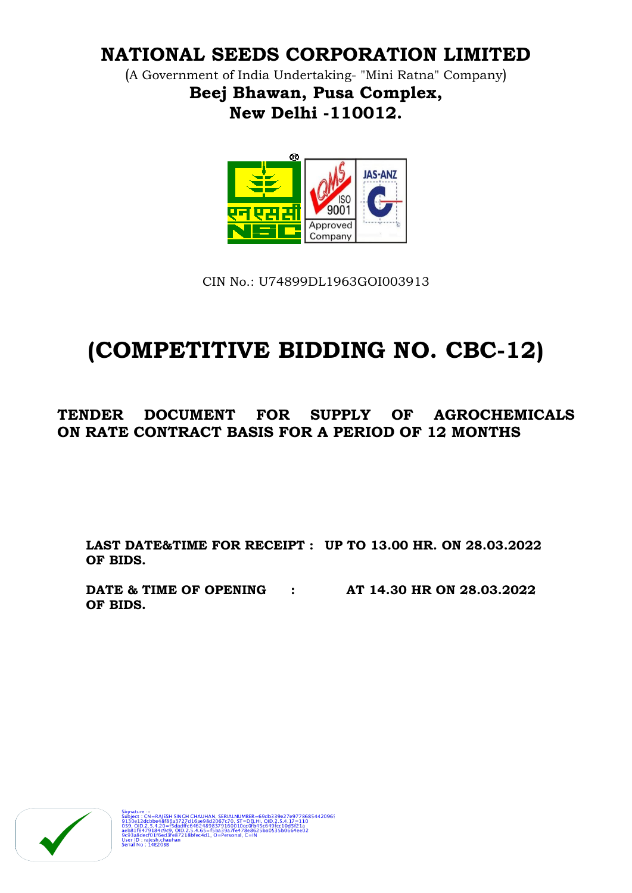# **NATIONAL SEEDS CORPORATION LIMITED**

(A Government of India Undertaking- "Mini Ratna" Company) **Beej Bhawan, Pusa Complex, New Delhi -110012.**



CIN No.: U74899DL1963GOI003913

# **(COMPETITIVE BIDDING NO. CBC-12)**

# **TENDER DOCUMENT FOR SUPPLY OF AGROCHEMICALS ON RATE CONTRACT BASIS FOR A PERIOD OF 12 MONTHS**

**LAST DATE&TIME FOR RECEIPT : UP TO 13.00 HR. ON 28.03.2022 OF BIDS.**

**DATE & TIME OF OPENING : AT 14.30 HR ON 28.03.2022 OF BIDS.**

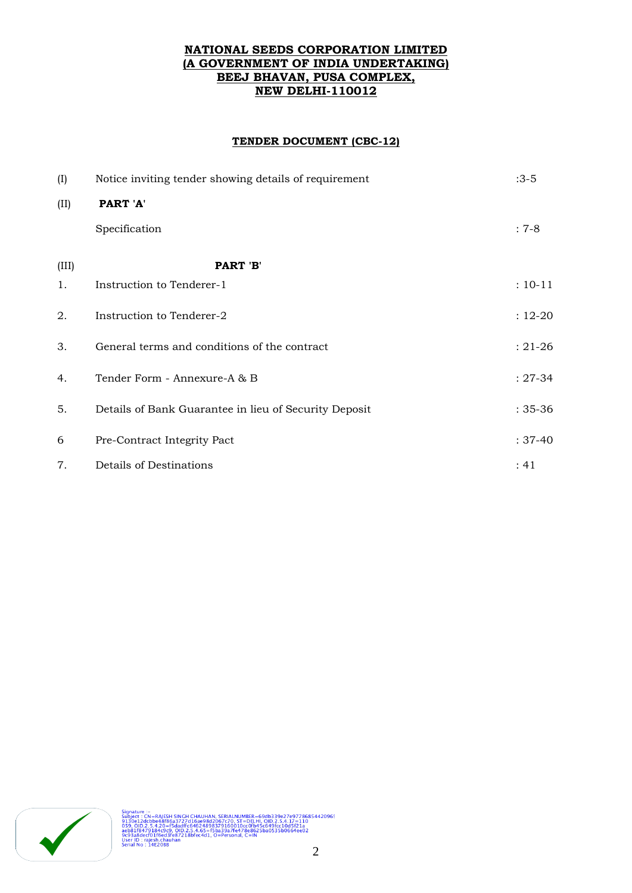### **NATIONAL SEEDS CORPORATION LIMITED (A GOVERNMENT OF INDIA UNDERTAKING) BEEJ BHAVAN, PUSA COMPLEX, NEW DELHI-110012**

### **TENDER DOCUMENT (CBC-12)**

| (I)   | Notice inviting tender showing details of requirement | $:3-5$      |
|-------|-------------------------------------------------------|-------------|
| (II)  | PART 'A'                                              |             |
|       | Specification                                         | $: 7-8$     |
| (III) | PART 'B'                                              |             |
| 1.    | Instruction to Tenderer-1                             | $: 10 - 11$ |
| 2.    | Instruction to Tenderer-2                             | $: 12 - 20$ |
| 3.    | General terms and conditions of the contract          | $: 21 - 26$ |
| 4.    | Tender Form - Annexure-A & B                          | $: 27 - 34$ |
| 5.    | Details of Bank Guarantee in lieu of Security Deposit | $: 35 - 36$ |
| 6     | Pre-Contract Integrity Pact                           | $: 37-40$   |
| 7.    | Details of Destinations                               | :41         |

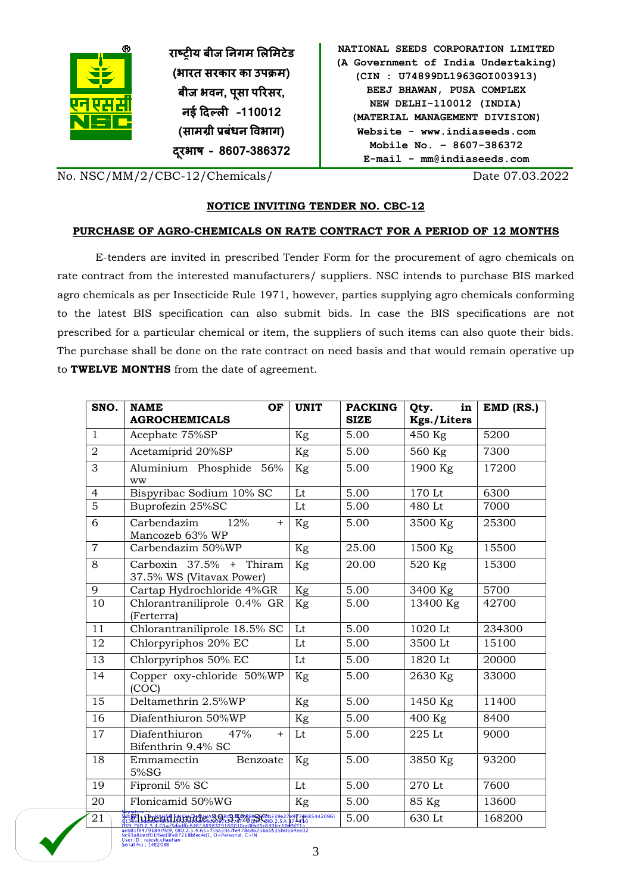

**राष्ट्रीय बीज निगम लऱलमटेड )भारत सरकार का उपक्रम( बीज भवि, पसू ा पररसर, िई दिल्ऱी –110012 (सामग्री प्रबंधि ववभाग) िरूभाष – 8607-386372**

| NATIONAL SEEDS CORPORATION LIMITED  |
|-------------------------------------|
| (A Government of India Undertaking) |
| (CIN : U74899DL1963GOI003913)       |
| BEEJ BHAWAN, PUSA COMPLEX           |
| NEW DELHI-110012 (INDIA)            |
| (MATERIAL MANAGEMENT DIVISION)      |
| Website - www.indiaseeds.com        |
| Mobile No. - 8607-386372            |
| $E$ -mail - mm@indiaseeds.com       |

No. NSC/MM/2/CBC-12/Chemicals/ Date 07.03.2022

# **NOTICE INVITING TENDER NO. CBC-12**

### **PURCHASE OF AGRO-CHEMICALS ON RATE CONTRACT FOR A PERIOD OF 12 MONTHS**

E-tenders are invited in prescribed Tender Form for the procurement of agro chemicals on rate contract from the interested manufacturers/ suppliers. NSC intends to purchase BIS marked agro chemicals as per Insecticide Rule 1971, however, parties supplying agro chemicals conforming to the latest BIS specification can also submit bids. In case the BIS specifications are not prescribed for a particular chemical or item, the suppliers of such items can also quote their bids. The purchase shall be done on the rate contract on need basis and that would remain operative up to **TWELVE MONTHS** from the date of agreement.

| SNO.           | <b>NAME</b><br>OF<br><b>AGROCHEMICALS</b>                                                                                               | <b>UNIT</b> | <b>PACKING</b><br><b>SIZE</b> | in<br>Qty.<br>Kgs./Liters | $EMD$ (RS.) |
|----------------|-----------------------------------------------------------------------------------------------------------------------------------------|-------------|-------------------------------|---------------------------|-------------|
| $\mathbf{1}$   | Acephate 75%SP                                                                                                                          | Kg          | 5.00                          | 450 Kg                    | 5200        |
| $\overline{2}$ | Acetamiprid 20%SP                                                                                                                       | Kg          | 5.00                          | 560 Kg                    | 7300        |
| 3              | Aluminium Phosphide 56%<br>ww                                                                                                           | Kg          | 5.00                          | 1900 Kg                   | 17200       |
| $\overline{4}$ | Bispyribac Sodium 10% SC                                                                                                                | Lt          | 5.00                          | 170 Lt                    | 6300        |
| $\overline{5}$ | Buprofezin 25%SC                                                                                                                        | Lt          | 5.00                          | 480 Lt                    | 7000        |
| 6              | Carbendazim<br>12%<br>$\ddot{}$<br>Mancozeb 63% WP                                                                                      | Kg          | 5.00                          | 3500 Kg                   | 25300       |
| $\overline{7}$ | Carbendazim 50%WP                                                                                                                       | $\rm Kg$    | 25.00                         | 1500 Kg                   | 15500       |
| 8              | Carboxin 37.5% + Thiram<br>37.5% WS (Vitavax Power)                                                                                     | Kg          | 20.00                         | 520 Kg                    | 15300       |
| $\overline{9}$ | Cartap Hydrochloride 4%GR                                                                                                               | Kg          | 5.00                          | $3400$ Kg                 | 5700        |
| 10             | Chlorantraniliprole 0.4% GR<br>(Ferterra)                                                                                               | Kg          | 5.00                          | 13400 Kg                  | 42700       |
| 11             | Chlorantraniliprole 18.5% SC                                                                                                            | Lt          | 5.00                          | 1020 Lt                   | 234300      |
| 12             | Chlorpyriphos 20% EC                                                                                                                    | Lt          | 5.00                          | 3500 Lt                   | 15100       |
| 13             | Chlorpyriphos 50% EC                                                                                                                    | Lt          | 5.00                          | 1820 Lt                   | 20000       |
| 14             | Copper oxy-chloride 50%WP<br>(COC)                                                                                                      | Kg          | 5.00                          | 2630 Kg                   | 33000       |
| 15             | Deltamethrin 2.5%WP                                                                                                                     | Kg          | 5.00                          | 1450 Kg                   | 11400       |
| 16             | Diafenthiuron 50%WP                                                                                                                     | Kg          | 5.00                          | 400 Kg                    | 8400        |
| 17             | Diafenthiuron<br>47%<br>$+$<br>Bifenthrin 9.4% SC                                                                                       | Lt          | 5.00                          | 225 Lt                    | 9000        |
| 18             | Emmamectin<br>Benzoate<br>5%SG                                                                                                          | Kg          | 5.00                          | 3850 Kg                   | 93200       |
| 19             | Fipronil 5% SC                                                                                                                          | Lt          | 5.00                          | 270 Lt                    | 7600        |
| 20             | Flonicamid 50%WG                                                                                                                        | Kg          | 5.00                          | 85 Kg                     | 13600       |
| 21             | DENIC LE BALES INCH CHALHAM GRIM EL OVERE FOD339e27e91746854420965<br>aeb81f8479184c9c9, OID.2.5.4.65=f5ba39a7fe478e8625ba0535b0664ee02 |             | 5.00                          | 630 Lt                    | 168200      |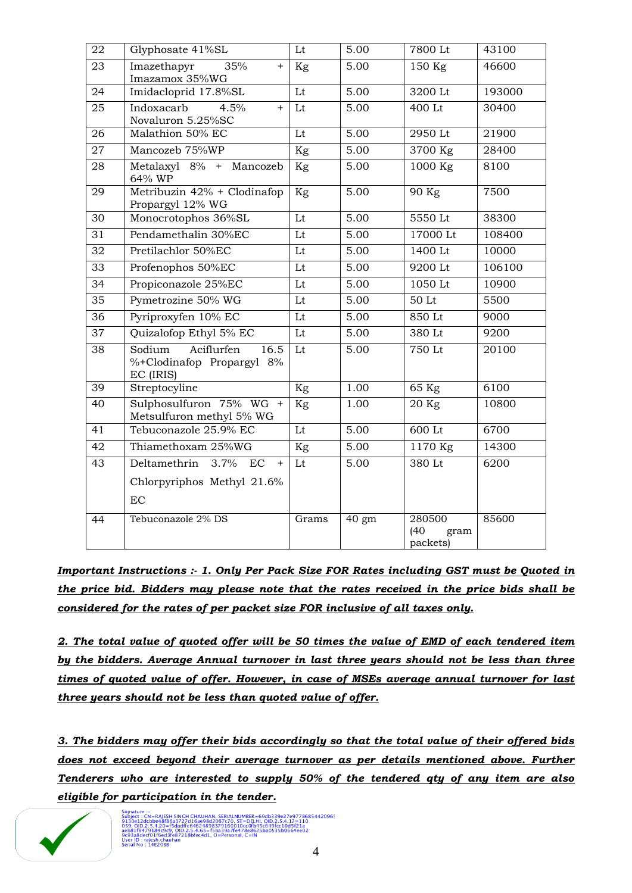| $\overline{22}$ | Glyphosate 41%SL                                                       | Lt    | 5.00               | 7800 Lt                            | 43100  |
|-----------------|------------------------------------------------------------------------|-------|--------------------|------------------------------------|--------|
| 23              | 35%<br>Imazethapyr<br>$+$<br>Imazamox 35%WG                            | Kg    | 5.00               | 150 Kg                             | 46600  |
| 24              | Imidacloprid 17.8%SL                                                   | Lt    | 5.00               | 3200 Lt                            | 193000 |
| $\overline{25}$ | Indoxacarb<br>4.5%<br>$+$<br>Novaluron 5.25%SC                         | Lt    | 5.00               | 400 Lt                             | 30400  |
| 26              | Malathion 50% EC                                                       | Lt    | 5.00               | 2950 Lt                            | 21900  |
| 27              | Mancozeb 75%WP                                                         | Kg    | 5.00               | 3700 Kg                            | 28400  |
| 28              | Metalaxyl 8% + Mancozeb<br>64% WP                                      | Kg    | 5.00               | 1000 Kg                            | 8100   |
| 29              | Metribuzin 42% + Clodinafop<br>Propargyl 12% WG                        | Kg    | 5.00               | 90 Kg                              | 7500   |
| 30              | Monocrotophos 36%SL                                                    | Lt    | 5.00               | 5550 Lt                            | 38300  |
| 31              | Pendamethalin 30%EC                                                    | Lt    | 5.00               | 17000 Lt                           | 108400 |
| 32              | Pretilachlor 50%EC                                                     | Lt    | 5.00               | 1400 Lt                            | 10000  |
| 33              | Profenophos 50%EC                                                      | Lt    | 5.00               | 9200 Lt                            | 106100 |
| 34              | Propiconazole 25%EC                                                    | Lt    | 5.00               | 1050 Lt                            | 10900  |
| 35              | Pymetrozine 50% WG                                                     | Lt    | 5.00               | 50 Lt                              | 5500   |
| 36              | Pyriproxyfen 10% EC                                                    | Lt    | 5.00               | 850 Lt                             | 9000   |
| 37              | Quizalofop Ethyl 5% EC                                                 | Lt    | 5.00               | $380 \mathrm{Lt}$                  | 9200   |
| $\overline{38}$ | Aciflurfen<br>Sodium<br>16.5<br>%+Clodinafop Propargyl 8%<br>EC (IRIS) | Lt    | 5.00               | 750 Lt                             | 20100  |
| 39              | Streptocyline                                                          | Kg    | 1.00               | 65 Kg                              | 6100   |
| 40              | Sulphosulfuron 75% WG +<br>Metsulfuron methyl 5% WG                    | Kg    | 1.00               | 20 Kg                              | 10800  |
| 41              | Tebuconazole 25.9% EC                                                  | Lt    | 5.00               | $600$ Lt                           | 6700   |
| 42              | Thiamethoxam 25%WG                                                     | Kg    | 5.00               | 1170 Kg                            | 14300  |
| 43              | Deltamethrin<br>3.7%<br>EC<br>$+$                                      | Lt    | 5.00               | 380 Lt                             | 6200   |
|                 | Chlorpyriphos Methyl 21.6%                                             |       |                    |                                    |        |
|                 | EC                                                                     |       |                    |                                    |        |
| 44              | Tebuconazole 2% DS                                                     | Grams | $\overline{40}$ gm | 280500<br>(40)<br>gram<br>packets) | 85600  |

*Important Instructions :- 1. Only Per Pack Size FOR Rates including GST must be Quoted in the price bid. Bidders may please note that the rates received in the price bids shall be considered for the rates of per packet size FOR inclusive of all taxes only.* 

*2. The total value of quoted offer will be 50 times the value of EMD of each tendered item by the bidders. Average Annual turnover in last three years should not be less than three times of quoted value of offer. However, in case of MSEs average annual turnover for last three years should not be less than quoted value of offer.*

*3. The bidders may offer their bids accordingly so that the total value of their offered bids does not exceed beyond their average turnover as per details mentioned above. Further Tenderers who are interested to supply 50% of the tendered qty of any item are also eligible for participation in the tender.*



Signature :-<br>
1919 - Charles Band, State March Chause (1988)<br>
2013 - Charles Band, 2721 364-9840367270, ST-DELH, OD.2.5 4, 17 = 11.0<br>
2013 - Charles Band, 2012 - Charles Cape (20067270, ST-DELH, OD.2.5 4, 17 = 11.0<br>
2013 -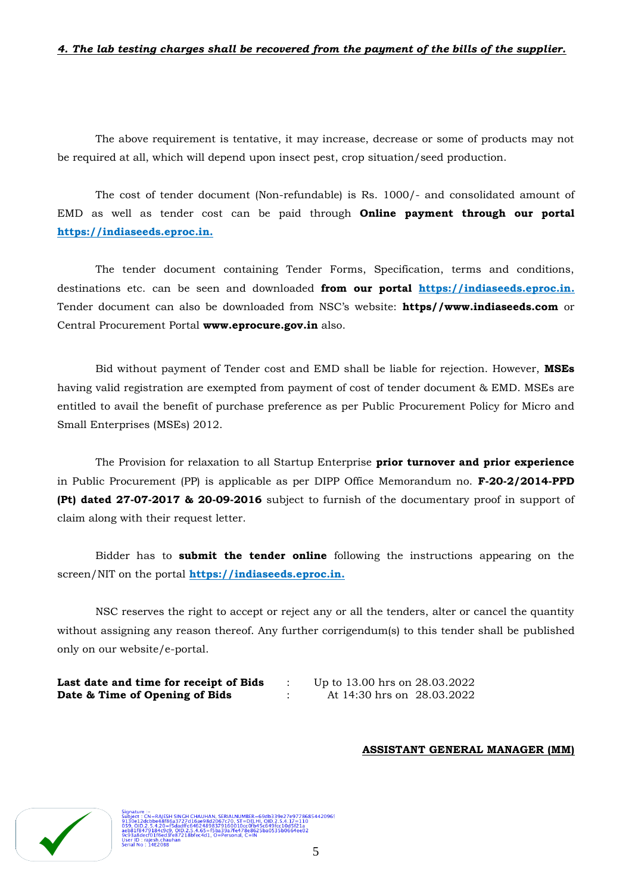### *4. The lab testing charges shall be recovered from the payment of the bills of the supplier.*

The above requirement is tentative, it may increase, decrease or some of products may not be required at all, which will depend upon insect pest, crop situation/seed production.

The cost of tender document (Non-refundable) is Rs. 1000/- and consolidated amount of EMD as well as tender cost can be paid through **Online payment through our portal [https://indiaseeds.eproc.in.](https://indiaseeds.eproc.in/)** 

The tender document containing Tender Forms, Specification, terms and conditions, destinations etc. can be seen and downloaded **from our portal [https://indiaseeds.eproc.in.](https://indiaseeds.eproc.in/)** Tender document can also be downloaded from NSC"s website: **https//www.indiaseeds.com** or Central Procurement Portal **www.eprocure.gov.in** also.

Bid without payment of Tender cost and EMD shall be liable for rejection. However, **MSEs**  having valid registration are exempted from payment of cost of tender document & EMD. MSEs are entitled to avail the benefit of purchase preference as per Public Procurement Policy for Micro and Small Enterprises (MSEs) 2012.

The Provision for relaxation to all Startup Enterprise **prior turnover and prior experience** in Public Procurement (PP) is applicable as per DIPP Office Memorandum no. **F-20-2/2014-PPD (Pt) dated 27-07-2017 & 20-09-2016** subject to furnish of the documentary proof in support of claim along with their request letter.

Bidder has to **submit the tender online** following the instructions appearing on the screen/NIT on the portal **[https://indiaseeds.eproc.in.](https://indiaseeds.eproc.in/)**

NSC reserves the right to accept or reject any or all the tenders, alter or cancel the quantity without assigning any reason thereof. Any further corrigendum(s) to this tender shall be published only on our website/e-portal.

| Last date and time for receipt of Bids | Up to 13.00 hrs on 28.03.2022 |  |
|----------------------------------------|-------------------------------|--|
| Date & Time of Opening of Bids         | At 14:30 hrs on 28.03.2022    |  |

### **ASSISTANT GENERAL MANAGER (MM)**



;Н СНАUНАN, SERIALNUMBER=69db339e27e9778685442096:<br>7d16ae98d2067c70, ST=DELHI, OID.2.5.4.17=110<br>ffc64624898379160010cc0fb45c649fcc10d5f21a<br>1.8bfec4d1, O=Personal, C=IN<br>1.8bfec4d1, O=Personal, C=IN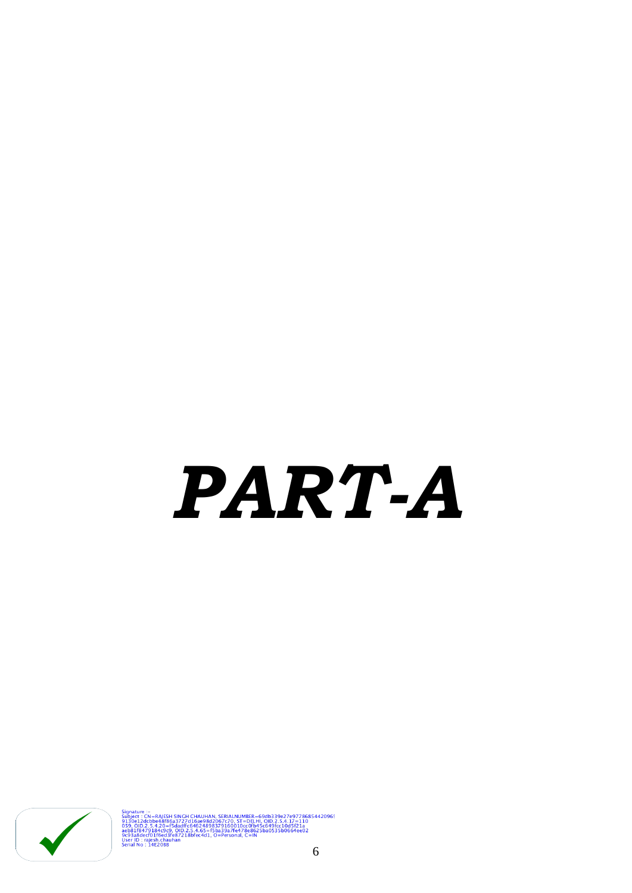# *PART-A*



Signature -:<br>
Subject : Cth=RAJESH SINCH CHAUHAN, SERJALNUMEER=69db339e27e97786854420965<br>
SUBJect : Cth=b6866827771668624898379160010cc0fb45-04025-31075-110<br>
0150-010-2-5-4-20e-6dadff G6624898379160010cc0fb45-04965-7045-21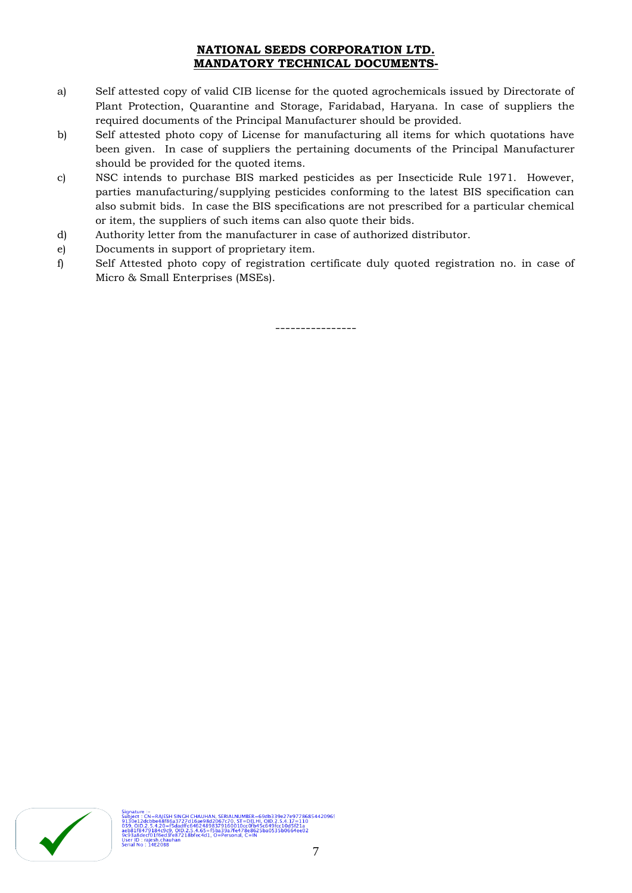# **NATIONAL SEEDS CORPORATION LTD. MANDATORY TECHNICAL DOCUMENTS-**

- a) Self attested copy of valid CIB license for the quoted agrochemicals issued by Directorate of Plant Protection, Quarantine and Storage, Faridabad, Haryana. In case of suppliers the required documents of the Principal Manufacturer should be provided.
- b) Self attested photo copy of License for manufacturing all items for which quotations have been given. In case of suppliers the pertaining documents of the Principal Manufacturer should be provided for the quoted items.
- c) NSC intends to purchase BIS marked pesticides as per Insecticide Rule 1971. However, parties manufacturing/supplying pesticides conforming to the latest BIS specification can also submit bids. In case the BIS specifications are not prescribed for a particular chemical or item, the suppliers of such items can also quote their bids.
- d) Authority letter from the manufacturer in case of authorized distributor.
- e) Documents in support of proprietary item.
- f) Self Attested photo copy of registration certificate duly quoted registration no. in case of Micro & Small Enterprises (MSEs).

----------------

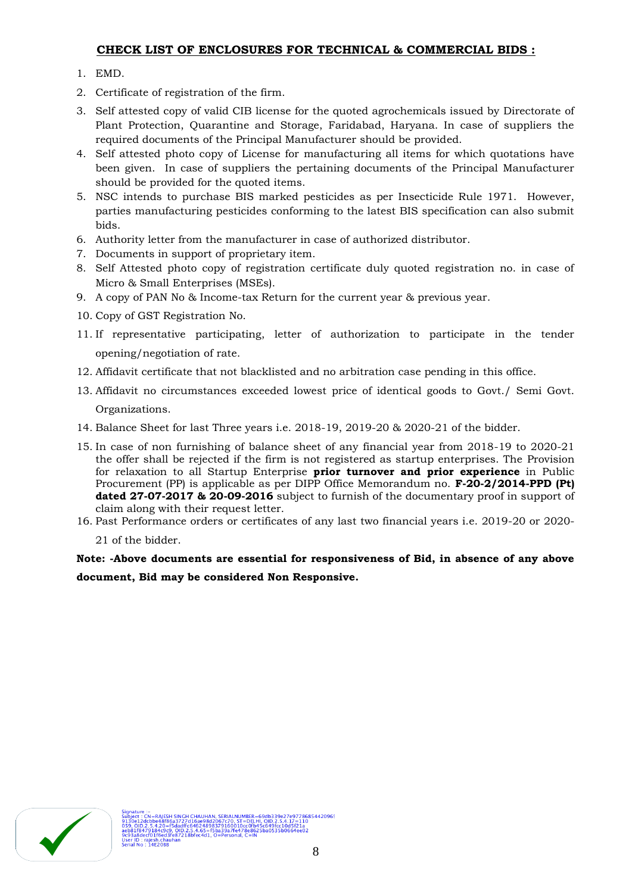# **CHECK LIST OF ENCLOSURES FOR TECHNICAL & COMMERCIAL BIDS :**

- 1. EMD.
- 2. Certificate of registration of the firm.
- 3. Self attested copy of valid CIB license for the quoted agrochemicals issued by Directorate of Plant Protection, Quarantine and Storage, Faridabad, Haryana. In case of suppliers the required documents of the Principal Manufacturer should be provided.
- 4. Self attested photo copy of License for manufacturing all items for which quotations have been given. In case of suppliers the pertaining documents of the Principal Manufacturer should be provided for the quoted items.
- 5. NSC intends to purchase BIS marked pesticides as per Insecticide Rule 1971. However, parties manufacturing pesticides conforming to the latest BIS specification can also submit bids.
- 6. Authority letter from the manufacturer in case of authorized distributor.
- 7. Documents in support of proprietary item.
- 8. Self Attested photo copy of registration certificate duly quoted registration no. in case of Micro & Small Enterprises (MSEs).
- 9. A copy of PAN No & Income-tax Return for the current year & previous year.
- 10. Copy of GST Registration No.
- 11. If representative participating, letter of authorization to participate in the tender opening/negotiation of rate.
- 12. Affidavit certificate that not blacklisted and no arbitration case pending in this office.
- 13. Affidavit no circumstances exceeded lowest price of identical goods to Govt./ Semi Govt. Organizations.
- 14. Balance Sheet for last Three years i.e. 2018-19, 2019-20 & 2020-21 of the bidder.
- 15. In case of non furnishing of balance sheet of any financial year from 2018-19 to 2020-21 the offer shall be rejected if the firm is not registered as startup enterprises. The Provision for relaxation to all Startup Enterprise **prior turnover and prior experience** in Public Procurement (PP) is applicable as per DIPP Office Memorandum no. **F-20-2/2014-PPD (Pt) dated 27-07-2017 & 20-09-2016** subject to furnish of the documentary proof in support of claim along with their request letter.
- 16. Past Performance orders or certificates of any last two financial years i.e. 2019-20 or 2020-

21 of the bidder.

**Note: -Above documents are essential for responsiveness of Bid, in absence of any above document, Bid may be considered Non Responsive.**

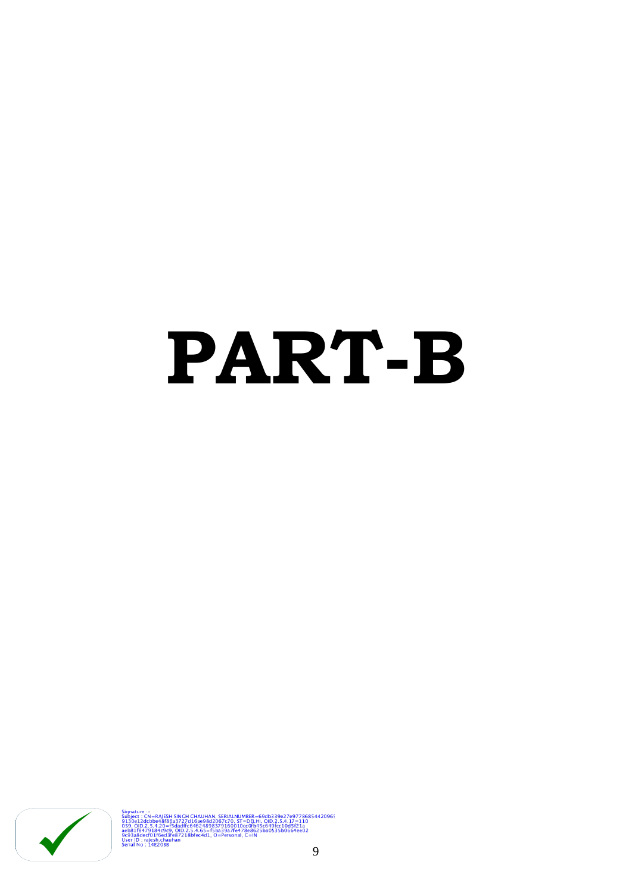# **PART-B**



IESH SINGH CHAUHAN, SERIALNUMBER=69db339e27e97786854420965<br>8f86a3727d15ae98d2067c70, ST=DELHI, OID.2.5.4.17=110<br>0=f5dadffc64624898379160010cc0fb45c649fcc10d5f21a<br>403fe87218bfec4d1, О=РегѕопаI, С=IN<br>ed3fe87218bfec4d1, О=Ре Signature :-<br>Subject : CN=RAJE<br>9130e12dcbbe48f<br>059, OID.2.5.4.20:<br>aeb81f8479184c9<br>9C93a8decf01f6ed<br>User ID : rajesh.cha<br>Serial No : 14E20B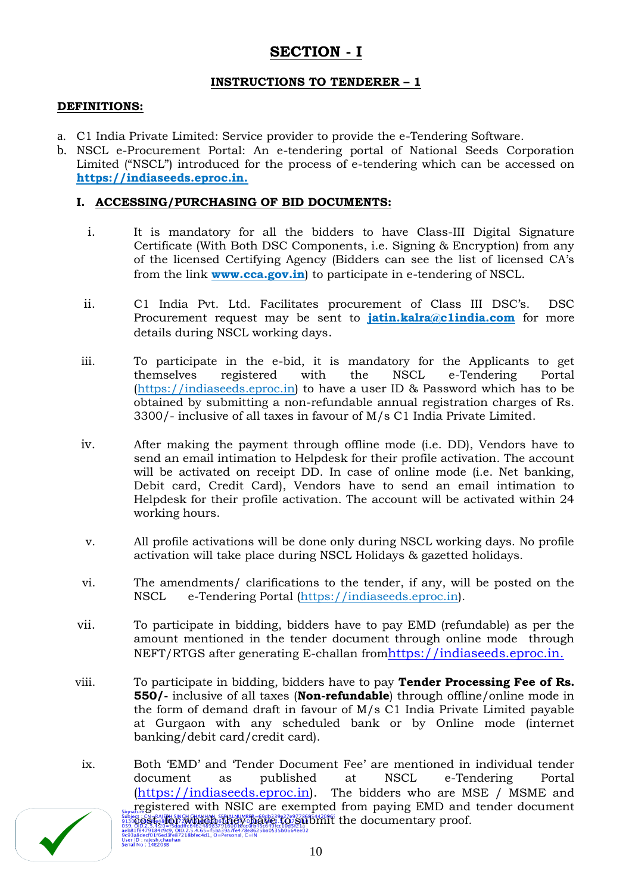# **SECTION - I**

# **INSTRUCTIONS TO TENDERER – 1**

### **DEFINITIONS:**

- a. C1 India Private Limited: Service provider to provide the e-Tendering Software.
- b. NSCL e-Procurement Portal: An e-tendering portal of National Seeds Corporation Limited ("NSCL") introduced for the process of e-tendering which can be accessed on **[https://indiaseeds.eproc.in.](https://indiaseeds.eproc.in/)**

# **I. ACCESSING/PURCHASING OF BID DOCUMENTS:**

- i. It is mandatory for all the bidders to have Class-III Digital Signature Certificate (With Both DSC Components, i.e. Signing & Encryption) from any of the licensed Certifying Agency (Bidders can see the list of licensed CA"s from the link **[www.cca.gov.in](http://www.cca.gov.in/)**) to participate in e-tendering of NSCL.
- ii. C1 India Pvt. Ltd. Facilitates procurement of Class III DSC"s. DSC Procurement request may be sent to **[jatin.kalra@c1india.com](mailto:jatin.kalra@c1india.com)** for more details during NSCL working days.
- iii. To participate in the e-bid, it is mandatory for the Applicants to get themselves registered with the NSCL e-Tendering Portal [\(https://indiaseeds.eproc.in\)](https://indiaseeds.eproc.in/) to have a user ID & Password which has to be obtained by submitting a non-refundable annual registration charges of Rs. 3300/- inclusive of all taxes in favour of M/s C1 India Private Limited.
- iv. After making the payment through offline mode (i.e. DD), Vendors have to send an email intimation to Helpdesk for their profile activation. The account will be activated on receipt DD. In case of online mode (i.e. Net banking, Debit card, Credit Card), Vendors have to send an email intimation to Helpdesk for their profile activation. The account will be activated within 24 working hours.
- v. All profile activations will be done only during NSCL working days. No profile activation will take place during NSCL Holidays & gazetted holidays.
- vi. The amendments/ clarifications to the tender, if any, will be posted on the NSCL e-Tendering Portal [\(https://indiaseeds.eproc.in\)](https://indiaseeds.eproc.in/).
- vii. To participate in bidding, bidders have to pay EMD (refundable) as per the amount mentioned in the tender document through online mode through NEFT/RTGS after generating E-challan from[https://indiaseeds.eproc.in.](https://indiaseeds.eproc.in/)
- viii. To participate in bidding, bidders have to pay **Tender Processing Fee of Rs. 550/-** inclusive of all taxes (**Non-refundable**) through offline/online mode in the form of demand draft in favour of M/s C1 India Private Limited payable at Gurgaon with any scheduled bank or by Online mode (internet banking/debit card/credit card).
- ix. Both "EMD" and "Tender Document Fee" are mentioned in individual tender document as published at NSCL e-Tendering Portal [\(https://indiaseeds.eproc.in\)](https://indiaseeds.eproc.in/). The bidders who are MSE / MSME and registered with NSIC are exempted from paying EMD and tender document piect, CN=RAFEH SINCH CHANHAN, SEPALNUMBER = 69db33927e97786854420965<br>30 COST, FOR PATE SINCH CHANHAN, SEPARALM BERN CORPORATION IT THE documentary proof.<br>6.102.2.3.420=Bdadftc64624898379160014cc0653:6498cc1003521a<br>1388dec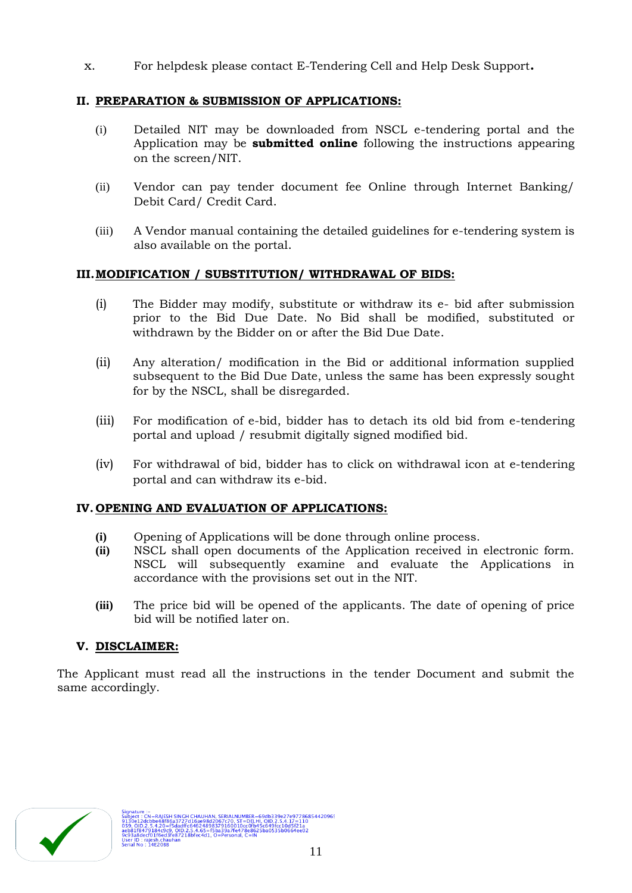x. For helpdesk please contact E-Tendering Cell and Help Desk Support**.**

# **II. PREPARATION & SUBMISSION OF APPLICATIONS:**

- (i) Detailed NIT may be downloaded from NSCL e-tendering portal and the Application may be **submitted online** following the instructions appearing on the screen/NIT.
- (ii) Vendor can pay tender document fee Online through Internet Banking/ Debit Card/ Credit Card.
- (iii) A Vendor manual containing the detailed guidelines for e-tendering system is also available on the portal.

# **III.MODIFICATION / SUBSTITUTION/ WITHDRAWAL OF BIDS:**

- (i) The Bidder may modify, substitute or withdraw its e- bid after submission prior to the Bid Due Date. No Bid shall be modified, substituted or withdrawn by the Bidder on or after the Bid Due Date.
- (ii) Any alteration/ modification in the Bid or additional information supplied subsequent to the Bid Due Date, unless the same has been expressly sought for by the NSCL, shall be disregarded.
- (iii) For modification of e-bid, bidder has to detach its old bid from e-tendering portal and upload / resubmit digitally signed modified bid.
- (iv) For withdrawal of bid, bidder has to click on withdrawal icon at e-tendering portal and can withdraw its e-bid.

# **IV. OPENING AND EVALUATION OF APPLICATIONS:**

- **(i)** Opening of Applications will be done through online process.
- **(ii)** NSCL shall open documents of the Application received in electronic form. NSCL will subsequently examine and evaluate the Applications in accordance with the provisions set out in the NIT.
- **(iii)** The price bid will be opened of the applicants. The date of opening of price bid will be notified later on.

# **V. DISCLAIMER:**

The Applicant must read all the instructions in the tender Document and submit the same accordingly.

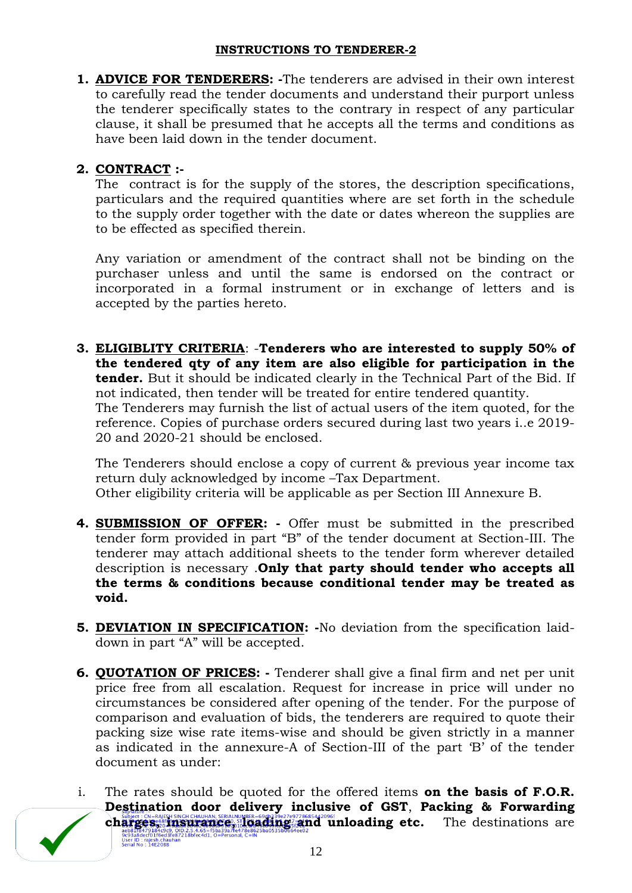# **INSTRUCTIONS TO TENDERER-2**

**1. ADVICE FOR TENDERERS: -**The tenderers are advised in their own interest to carefully read the tender documents and understand their purport unless the tenderer specifically states to the contrary in respect of any particular clause, it shall be presumed that he accepts all the terms and conditions as have been laid down in the tender document.

# **2. CONTRACT :-**

The contract is for the supply of the stores, the description specifications, particulars and the required quantities where are set forth in the schedule to the supply order together with the date or dates whereon the supplies are to be effected as specified therein.

Any variation or amendment of the contract shall not be binding on the purchaser unless and until the same is endorsed on the contract or incorporated in a formal instrument or in exchange of letters and is accepted by the parties hereto.

**3. ELIGIBLITY CRITERIA**: -**Tenderers who are interested to supply 50% of the tendered qty of any item are also eligible for participation in the tender.** But it should be indicated clearly in the Technical Part of the Bid. If not indicated, then tender will be treated for entire tendered quantity. The Tenderers may furnish the list of actual users of the item quoted, for the reference. Copies of purchase orders secured during last two years i..e 2019- 20 and 2020-21 should be enclosed.

The Tenderers should enclose a copy of current & previous year income tax return duly acknowledged by income –Tax Department. Other eligibility criteria will be applicable as per Section III Annexure B.

- **4. SUBMISSION OF OFFER: -** Offer must be submitted in the prescribed tender form provided in part "B" of the tender document at Section-III. The tenderer may attach additional sheets to the tender form wherever detailed description is necessary .**Only that party should tender who accepts all the terms & conditions because conditional tender may be treated as void.**
- **5. DEVIATION IN SPECIFICATION: -**No deviation from the specification laiddown in part "A" will be accepted.
- **6. QUOTATION OF PRICES: -** Tenderer shall give a final firm and net per unit price free from all escalation. Request for increase in price will under no circumstances be considered after opening of the tender. For the purpose of comparison and evaluation of bids, the tenderers are required to quote their packing size wise rate items-wise and should be given strictly in a manner as indicated in the annexure-A of Section-III of the part "B" of the tender document as under:
- i. The rates should be quoted for the offered items **on the basis of F.O.R. Destination door delivery inclusive of GST**, **Packing & Forwarding charges, on FAND SIGHCHAUHAN, SERIAD VIBER-6900339e27e97786854420965<br>
<b>charges, and unloading and unloading instance,**<br>
Best of the destinations are also and a serial design and and unloading etc. The destinations are<br>
Be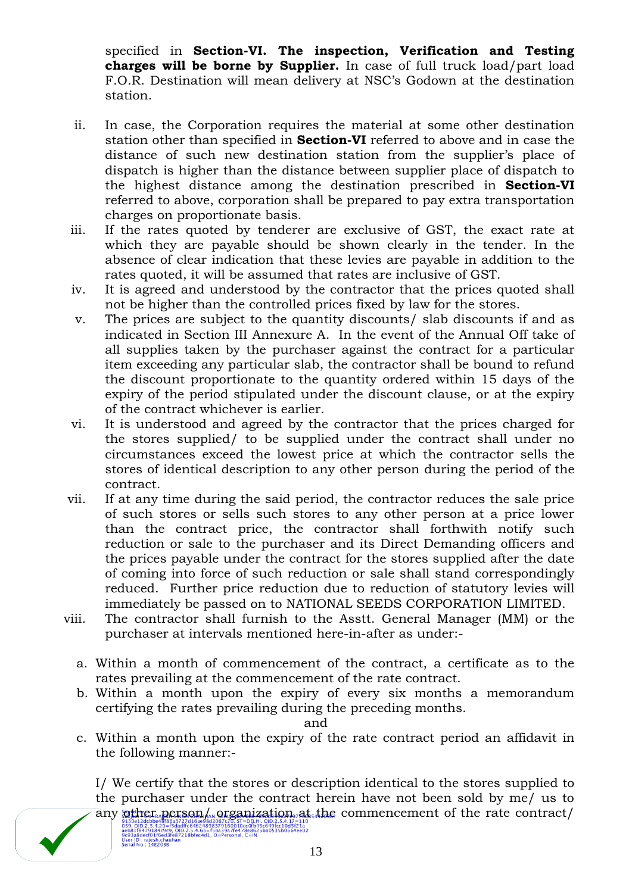specified in **Section-VI. The inspection, Verification and Testing charges will be borne by Supplier.** In case of full truck load/part load F.O.R. Destination will mean delivery at NSC"s Godown at the destination station.

- ii. In case, the Corporation requires the material at some other destination station other than specified in **Section-VI** referred to above and in case the distance of such new destination station from the supplier's place of dispatch is higher than the distance between supplier place of dispatch to the highest distance among the destination prescribed in **Section-VI** referred to above, corporation shall be prepared to pay extra transportation charges on proportionate basis.
- iii. If the rates quoted by tenderer are exclusive of GST, the exact rate at which they are payable should be shown clearly in the tender. In the absence of clear indication that these levies are payable in addition to the rates quoted, it will be assumed that rates are inclusive of GST.
- iv. It is agreed and understood by the contractor that the prices quoted shall not be higher than the controlled prices fixed by law for the stores.
- v. The prices are subject to the quantity discounts/ slab discounts if and as indicated in Section III Annexure A. In the event of the Annual Off take of all supplies taken by the purchaser against the contract for a particular item exceeding any particular slab, the contractor shall be bound to refund the discount proportionate to the quantity ordered within 15 days of the expiry of the period stipulated under the discount clause, or at the expiry of the contract whichever is earlier.
- vi. It is understood and agreed by the contractor that the prices charged for the stores supplied/ to be supplied under the contract shall under no circumstances exceed the lowest price at which the contractor sells the stores of identical description to any other person during the period of the contract.
- vii. If at any time during the said period, the contractor reduces the sale price of such stores or sells such stores to any other person at a price lower than the contract price, the contractor shall forthwith notify such reduction or sale to the purchaser and its Direct Demanding officers and the prices payable under the contract for the stores supplied after the date of coming into force of such reduction or sale shall stand correspondingly reduced. Further price reduction due to reduction of statutory levies will immediately be passed on to NATIONAL SEEDS CORPORATION LIMITED.
- viii. The contractor shall furnish to the Asstt. General Manager (MM) or the purchaser at intervals mentioned here-in-after as under:
	- a. Within a month of commencement of the contract, a certificate as to the rates prevailing at the commencement of the rate contract.
	- b. Within a month upon the expiry of every six months a memorandum certifying the rates prevailing during the preceding months.

and

c. Within a month upon the expiry of the rate contract period an affidavit in the following manner:-

I/ We certify that the stores or description identical to the stores supplied to the purchaser under the contract herein have not been sold by me/ us to any other person/ $\mu$  organization at the commencement of the rate contract/

913081240009683694372741698842007770, SI = DELHI, OID.2.5<br>059.0ID.2.5.4.20=15dadffc64624898379160010cc0fb45c649fcc1<br>0598176479184c9c9.0ID.2.54.65=15ba39a77e478e8625ba0535b0<br>09338decf01f6ed3fe87218ffec4d1, O=Personal, C=IN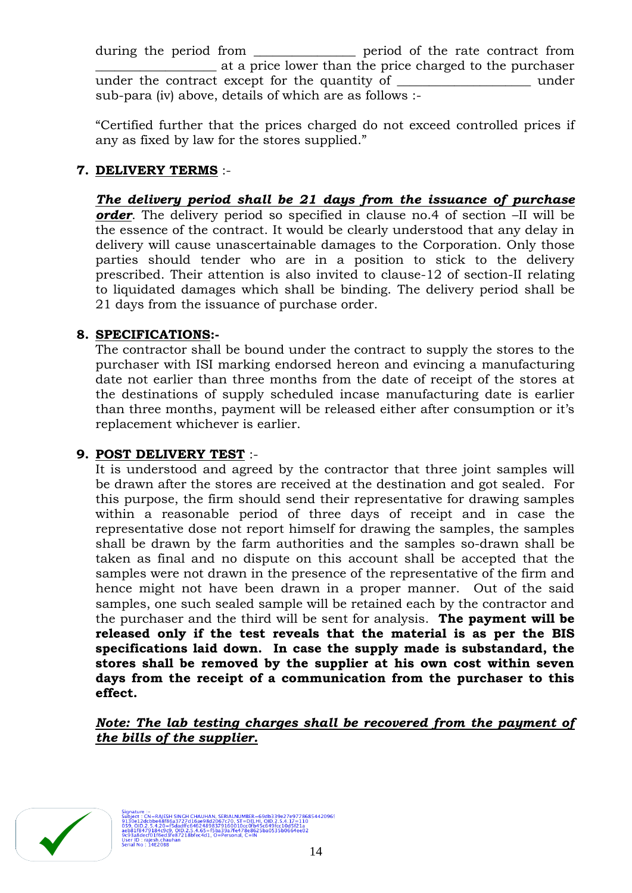during the period from \_\_\_\_\_\_\_\_\_\_\_\_\_\_\_\_ period of the rate contract from \_\_\_\_\_\_\_\_\_\_\_\_\_\_\_\_\_\_\_ at a price lower than the price charged to the purchaser under the contract except for the quantity of \_\_\_\_\_\_\_\_\_\_\_\_\_\_\_\_\_\_\_\_\_ under sub-para (iv) above, details of which are as follows :-

"Certified further that the prices charged do not exceed controlled prices if any as fixed by law for the stores supplied."

# **7. DELIVERY TERMS** :-

*The delivery period shall be 21 days from the issuance of purchase order*. The delivery period so specified in clause no.4 of section –II will be the essence of the contract. It would be clearly understood that any delay in delivery will cause unascertainable damages to the Corporation. Only those parties should tender who are in a position to stick to the delivery prescribed. Their attention is also invited to clause-12 of section-II relating to liquidated damages which shall be binding. The delivery period shall be 21 days from the issuance of purchase order.

# **8. SPECIFICATIONS:-**

The contractor shall be bound under the contract to supply the stores to the purchaser with ISI marking endorsed hereon and evincing a manufacturing date not earlier than three months from the date of receipt of the stores at the destinations of supply scheduled incase manufacturing date is earlier than three months, payment will be released either after consumption or it's replacement whichever is earlier.

# **9. POST DELIVERY TEST** :-

It is understood and agreed by the contractor that three joint samples will be drawn after the stores are received at the destination and got sealed. For this purpose, the firm should send their representative for drawing samples within a reasonable period of three days of receipt and in case the representative dose not report himself for drawing the samples, the samples shall be drawn by the farm authorities and the samples so-drawn shall be taken as final and no dispute on this account shall be accepted that the samples were not drawn in the presence of the representative of the firm and hence might not have been drawn in a proper manner. Out of the said samples, one such sealed sample will be retained each by the contractor and the purchaser and the third will be sent for analysis. **The payment will be released only if the test reveals that the material is as per the BIS specifications laid down. In case the supply made is substandard, the stores shall be removed by the supplier at his own cost within seven days from the receipt of a communication from the purchaser to this effect.**

*Note: The lab testing charges shall be recovered from the payment of the bills of the supplier.*



ESH SINGH CHAUHAN, SERIALNUMBER=69db339e27e9778685442096:<br>{f86a3727d15ae98d2067c70, ST=DELHI, OID.2.5.4.17=110<br>0=f5dadffc64624898379160010cc0fb45c649fcc10d5f21a<br>9d3(87218bfec4d1, О=Personal, С=IN<br>d3fe87218bfec4d1, О=Perso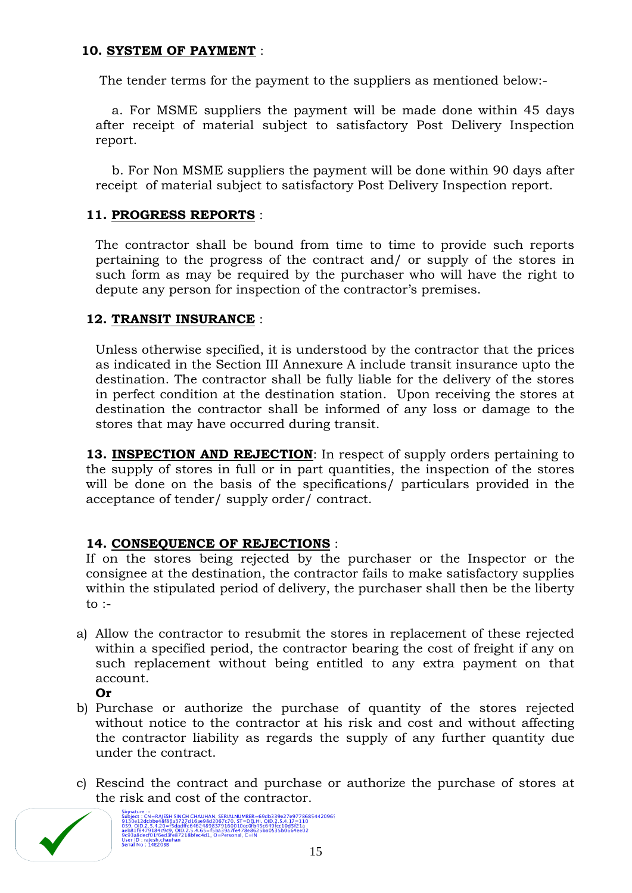# **10. SYSTEM OF PAYMENT** :

The tender terms for the payment to the suppliers as mentioned below:-

 a. For MSME suppliers the payment will be made done within 45 days after receipt of material subject to satisfactory Post Delivery Inspection report.

 b. For Non MSME suppliers the payment will be done within 90 days after receipt of material subject to satisfactory Post Delivery Inspection report.

# **11. PROGRESS REPORTS** :

The contractor shall be bound from time to time to provide such reports pertaining to the progress of the contract and/ or supply of the stores in such form as may be required by the purchaser who will have the right to depute any person for inspection of the contractor's premises.

# **12. TRANSIT INSURANCE** :

Unless otherwise specified, it is understood by the contractor that the prices as indicated in the Section III Annexure A include transit insurance upto the destination. The contractor shall be fully liable for the delivery of the stores in perfect condition at the destination station. Upon receiving the stores at destination the contractor shall be informed of any loss or damage to the stores that may have occurred during transit.

**13. INSPECTION AND REJECTION**: In respect of supply orders pertaining to the supply of stores in full or in part quantities, the inspection of the stores will be done on the basis of the specifications/ particulars provided in the acceptance of tender/ supply order/ contract.

# **14. CONSEQUENCE OF REJECTIONS** :

If on the stores being rejected by the purchaser or the Inspector or the consignee at the destination, the contractor fails to make satisfactory supplies within the stipulated period of delivery, the purchaser shall then be the liberty to  $:$ 

- a) Allow the contractor to resubmit the stores in replacement of these rejected within a specified period, the contractor bearing the cost of freight if any on such replacement without being entitled to any extra payment on that account.
	- **Or**
- b) Purchase or authorize the purchase of quantity of the stores rejected without notice to the contractor at his risk and cost and without affecting the contractor liability as regards the supply of any further quantity due under the contract.
- c) Rescind the contract and purchase or authorize the purchase of stores at the risk and cost of the contractor.

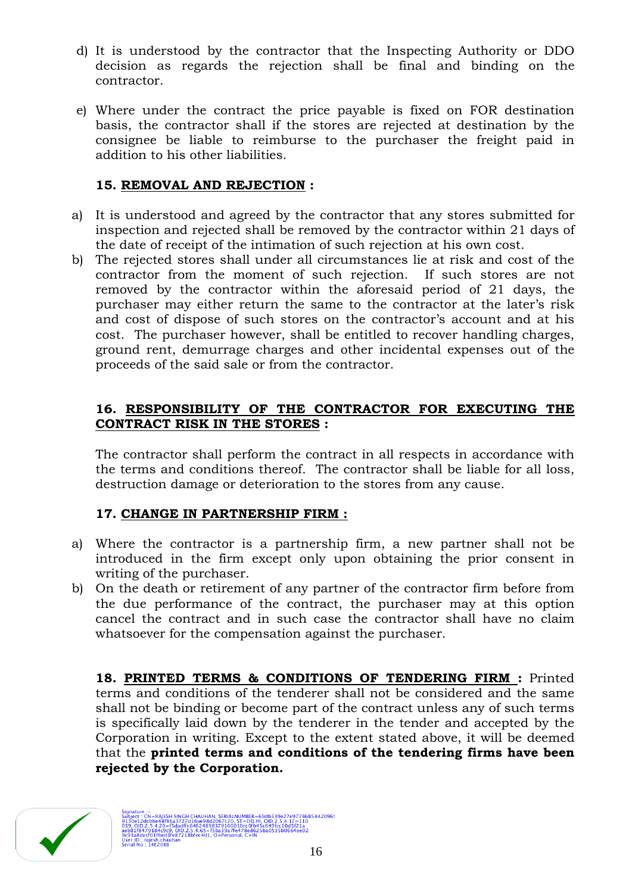- d) It is understood by the contractor that the Inspecting Authority or DDO decision as regards the rejection shall be final and binding on the contractor.
- e) Where under the contract the price payable is fixed on FOR destination basis, the contractor shall if the stores are rejected at destination by the consignee be liable to reimburse to the purchaser the freight paid in addition to his other liabilities.

# **15. REMOVAL AND REJECTION :**

- a) It is understood and agreed by the contractor that any stores submitted for inspection and rejected shall be removed by the contractor within 21 days of the date of receipt of the intimation of such rejection at his own cost.
- b) The rejected stores shall under all circumstances lie at risk and cost of the contractor from the moment of such rejection. If such stores are not removed by the contractor within the aforesaid period of 21 days, the purchaser may either return the same to the contractor at the later"s risk and cost of dispose of such stores on the contractor's account and at his cost. The purchaser however, shall be entitled to recover handling charges, ground rent, demurrage charges and other incidental expenses out of the proceeds of the said sale or from the contractor.

# **16. RESPONSIBILITY OF THE CONTRACTOR FOR EXECUTING THE CONTRACT RISK IN THE STORES :**

The contractor shall perform the contract in all respects in accordance with the terms and conditions thereof. The contractor shall be liable for all loss, destruction damage or deterioration to the stores from any cause.

# **17. CHANGE IN PARTNERSHIP FIRM :**

- a) Where the contractor is a partnership firm, a new partner shall not be introduced in the firm except only upon obtaining the prior consent in writing of the purchaser.
- b) On the death or retirement of any partner of the contractor firm before from the due performance of the contract, the purchaser may at this option cancel the contract and in such case the contractor shall have no claim whatsoever for the compensation against the purchaser.

**18. PRINTED TERMS & CONDITIONS OF TENDERING FIRM :** Printed terms and conditions of the tenderer shall not be considered and the same shall not be binding or become part of the contract unless any of such terms is specifically laid down by the tenderer in the tender and accepted by the Corporation in writing. Except to the extent stated above, it will be deemed that the **printed terms and conditions of the tendering firms have been rejected by the Corporation.**

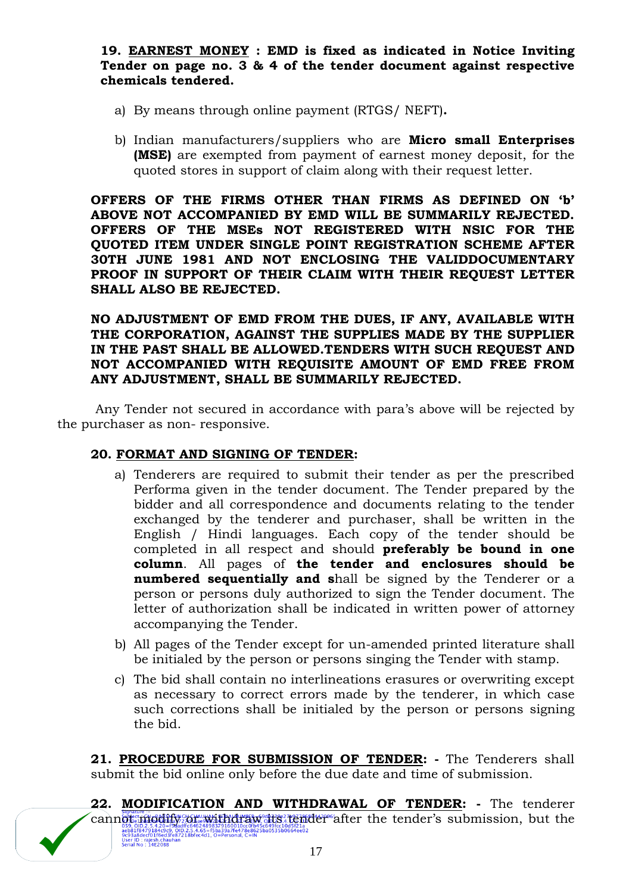**19. EARNEST MONEY : EMD is fixed as indicated in Notice Inviting Tender on page no. 3 & 4 of the tender document against respective chemicals tendered.** 

- a) By means through online payment (RTGS/ NEFT)**.**
- b) Indian manufacturers/suppliers who are **Micro small Enterprises (MSE)** are exempted from payment of earnest money deposit, for the quoted stores in support of claim along with their request letter.

**OFFERS OF THE FIRMS OTHER THAN FIRMS AS DEFINED ON "b" ABOVE NOT ACCOMPANIED BY EMD WILL BE SUMMARILY REJECTED. OFFERS OF THE MSEs NOT REGISTERED WITH NSIC FOR THE QUOTED ITEM UNDER SINGLE POINT REGISTRATION SCHEME AFTER 30TH JUNE 1981 AND NOT ENCLOSING THE VALIDDOCUMENTARY PROOF IN SUPPORT OF THEIR CLAIM WITH THEIR REQUEST LETTER SHALL ALSO BE REJECTED.**

**NO ADJUSTMENT OF EMD FROM THE DUES, IF ANY, AVAILABLE WITH THE CORPORATION, AGAINST THE SUPPLIES MADE BY THE SUPPLIER IN THE PAST SHALL BE ALLOWED.TENDERS WITH SUCH REQUEST AND NOT ACCOMPANIED WITH REQUISITE AMOUNT OF EMD FREE FROM ANY ADJUSTMENT, SHALL BE SUMMARILY REJECTED.**

Any Tender not secured in accordance with para's above will be rejected by the purchaser as non- responsive.

# **20. FORMAT AND SIGNING OF TENDER:**

- a) Tenderers are required to submit their tender as per the prescribed Performa given in the tender document. The Tender prepared by the bidder and all correspondence and documents relating to the tender exchanged by the tenderer and purchaser, shall be written in the English / Hindi languages. Each copy of the tender should be completed in all respect and should **preferably be bound in one column**. All pages of **the tender and enclosures should be numbered sequentially and s**hall be signed by the Tenderer or a person or persons duly authorized to sign the Tender document. The letter of authorization shall be indicated in written power of attorney accompanying the Tender.
- b) All pages of the Tender except for un-amended printed literature shall be initialed by the person or persons singing the Tender with stamp.
- c) The bid shall contain no interlineations erasures or overwriting except as necessary to correct errors made by the tenderer, in which case such corrections shall be initialed by the person or persons signing the bid.

**21. PROCEDURE FOR SUBMISSION OF TENDER: -** The Tenderers shall submit the bid online only before the due date and time of submission.

**22. MODIFICATION AND WITHDRAWAL OF TENDER: -** The tenderer  $\overbrace{\mathrm{cam}}^{\text{square}}_{\text{C63}}$  or  $\overbrace{\mathrm{max}}^{\text{square}}_{\text{C44}}$  and  $\overbrace{\mathrm{max}}^{\text{triangle}}_{\text{S44}}$  and  $\overbrace{\mathrm{max}}^{\text{triangle}}_{\text{S45}}$  and  $\overbrace{\mathrm{max}}^{\text{triangle}}_{\text{S45}}$  and  $\overbrace{\mathrm{max}}^{\text{triangle}}_{\text{S45}}$  and  $\overbrace{\mathrm{max}}^{\text{triangle}}_{\text{S45}}$  and  $\overbrace{\mathrm{max}}^{\text{triangle}}_{\text{$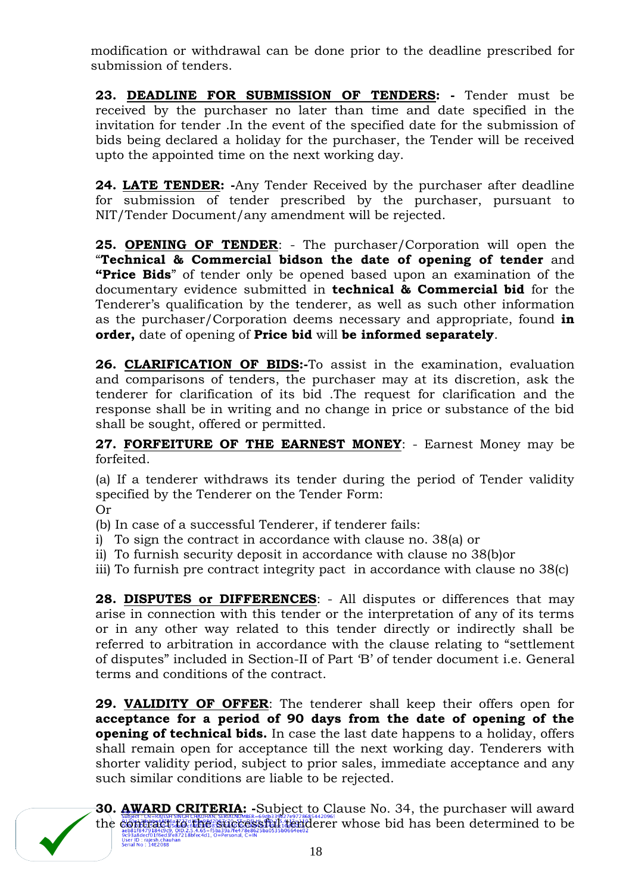modification or withdrawal can be done prior to the deadline prescribed for submission of tenders.

23. DEADLINE FOR SUBMISSION OF TENDERS: - Tender must be received by the purchaser no later than time and date specified in the invitation for tender .In the event of the specified date for the submission of bids being declared a holiday for the purchaser, the Tender will be received upto the appointed time on the next working day.

**24. LATE TENDER: -**Any Tender Received by the purchaser after deadline for submission of tender prescribed by the purchaser, pursuant to NIT/Tender Document/any amendment will be rejected.

**25. OPENING OF TENDER**: - The purchaser/Corporation will open the "**Technical & Commercial bidson the date of opening of tender** and **"Price Bids**" of tender only be opened based upon an examination of the documentary evidence submitted in **technical & Commercial bid** for the Tenderer's qualification by the tenderer, as well as such other information as the purchaser/Corporation deems necessary and appropriate, found **in order,** date of opening of **Price bid** will **be informed separately**.

**26. CLARIFICATION OF BIDS:-**To assist in the examination, evaluation and comparisons of tenders, the purchaser may at its discretion, ask the tenderer for clarification of its bid .The request for clarification and the response shall be in writing and no change in price or substance of the bid shall be sought, offered or permitted.

**27. FORFEITURE OF THE EARNEST MONEY**: - Earnest Money may be forfeited.

(a) If a tenderer withdraws its tender during the period of Tender validity specified by the Tenderer on the Tender Form:

Or

- (b) In case of a successful Tenderer, if tenderer fails:
- i) To sign the contract in accordance with clause no. 38(a) or
- ii) To furnish security deposit in accordance with clause no 38(b)or
- iii) To furnish pre contract integrity pact in accordance with clause no 38(c)

**28. DISPUTES or DIFFERENCES**: - All disputes or differences that may arise in connection with this tender or the interpretation of any of its terms or in any other way related to this tender directly or indirectly shall be referred to arbitration in accordance with the clause relating to "settlement of disputes" included in Section-II of Part "B" of tender document i.e. General terms and conditions of the contract.

**29. VALIDITY OF OFFER**: The tenderer shall keep their offers open for **acceptance for a period of 90 days from the date of opening of the opening of technical bids.** In case the last date happens to a holiday, offers shall remain open for acceptance till the next working day. Tenderers with shorter validity period, subject to prior sales, immediate acceptance and any such similar conditions are liable to be rejected.



**30. AWARD CRITERIA: -**Subject to Clause No. 34, the purchaser will award the contract to the successful tenderer whose bid has been determined to be 9c93a8decf01f6ed3<br>User ID : rajesh.chai<br>Serial No : 14E20BB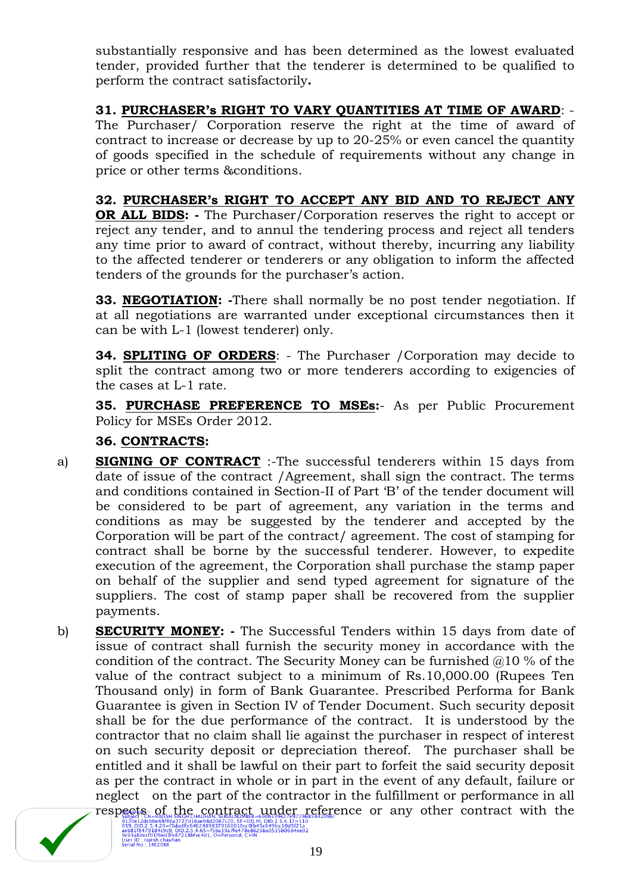substantially responsive and has been determined as the lowest evaluated tender, provided further that the tenderer is determined to be qualified to perform the contract satisfactorily**.**

**31. PURCHASER"s RIGHT TO VARY QUANTITIES AT TIME OF AWARD**: - The Purchaser/ Corporation reserve the right at the time of award of contract to increase or decrease by up to 20-25% or even cancel the quantity of goods specified in the schedule of requirements without any change in price or other terms &conditions.

# **32. PURCHASER"s RIGHT TO ACCEPT ANY BID AND TO REJECT ANY**

**OR ALL BIDS: -** The Purchaser/Corporation reserves the right to accept or reject any tender, and to annul the tendering process and reject all tenders any time prior to award of contract, without thereby, incurring any liability to the affected tenderer or tenderers or any obligation to inform the affected tenders of the grounds for the purchaser's action.

**33. NEGOTIATION: -**There shall normally be no post tender negotiation. If at all negotiations are warranted under exceptional circumstances then it can be with L-1 (lowest tenderer) only.

**34. SPLITING OF ORDERS**: - The Purchaser /Corporation may decide to split the contract among two or more tenderers according to exigencies of the cases at L-1 rate.

**35. PURCHASE PREFERENCE TO MSEs:**- As per Public Procurement Policy for MSEs Order 2012.

# **36. CONTRACTS:**

- a) **SIGNING OF CONTRACT** :-The successful tenderers within 15 days from date of issue of the contract /Agreement, shall sign the contract. The terms and conditions contained in Section-II of Part "B" of the tender document will be considered to be part of agreement, any variation in the terms and conditions as may be suggested by the tenderer and accepted by the Corporation will be part of the contract/ agreement. The cost of stamping for contract shall be borne by the successful tenderer. However, to expedite execution of the agreement, the Corporation shall purchase the stamp paper on behalf of the supplier and send typed agreement for signature of the suppliers. The cost of stamp paper shall be recovered from the supplier payments.
- b) **SECURITY MONEY: -** The Successful Tenders within 15 days from date of issue of contract shall furnish the security money in accordance with the condition of the contract. The Security Money can be furnished  $@10%$  of the value of the contract subject to a minimum of Rs.10,000.00 (Rupees Ten Thousand only) in form of Bank Guarantee. Prescribed Performa for Bank Guarantee is given in Section IV of Tender Document. Such security deposit shall be for the due performance of the contract. It is understood by the contractor that no claim shall lie against the purchaser in respect of interest on such security deposit or depreciation thereof. The purchaser shall be entitled and it shall be lawful on their part to forfeit the said security deposit as per the contract in whole or in part in the event of any default, failure or neglect on the part of the contractor in the fulfillment or performance in all respects of the contract under reference or any other contract with the

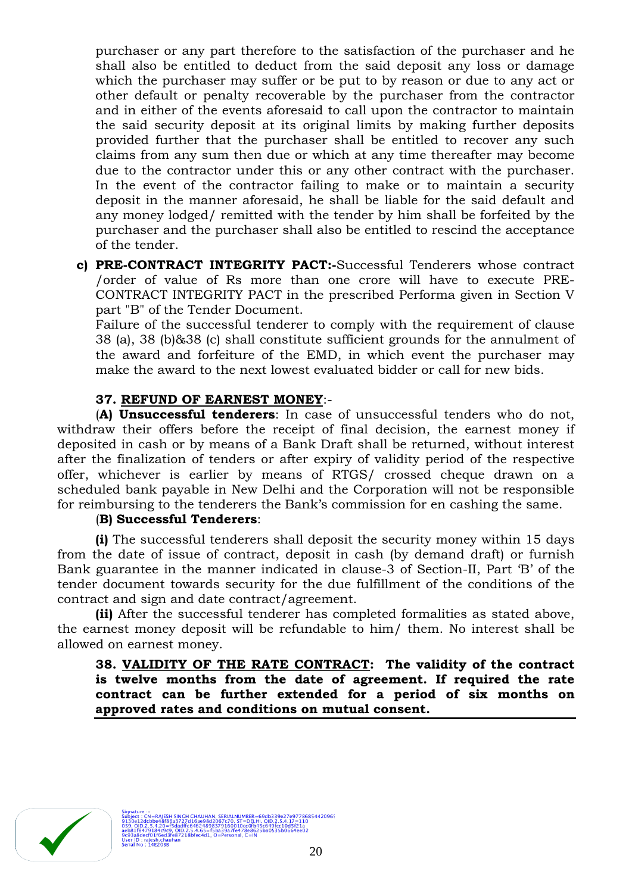purchaser or any part therefore to the satisfaction of the purchaser and he shall also be entitled to deduct from the said deposit any loss or damage which the purchaser may suffer or be put to by reason or due to any act or other default or penalty recoverable by the purchaser from the contractor and in either of the events aforesaid to call upon the contractor to maintain the said security deposit at its original limits by making further deposits provided further that the purchaser shall be entitled to recover any such claims from any sum then due or which at any time thereafter may become due to the contractor under this or any other contract with the purchaser. In the event of the contractor failing to make or to maintain a security deposit in the manner aforesaid, he shall be liable for the said default and any money lodged/ remitted with the tender by him shall be forfeited by the purchaser and the purchaser shall also be entitled to rescind the acceptance of the tender.

**c) PRE-CONTRACT INTEGRITY PACT:-**Successful Tenderers whose contract /order of value of Rs more than one crore will have to execute PRE-CONTRACT INTEGRITY PACT in the prescribed Performa given in Section V part "B" of the Tender Document.

Failure of the successful tenderer to comply with the requirement of clause 38 (a), 38 (b)&38 (c) shall constitute sufficient grounds for the annulment of the award and forfeiture of the EMD, in which event the purchaser may make the award to the next lowest evaluated bidder or call for new bids.

# **37. REFUND OF EARNEST MONEY**:-

(**A) Unsuccessful tenderers**: In case of unsuccessful tenders who do not, withdraw their offers before the receipt of final decision, the earnest money if deposited in cash or by means of a Bank Draft shall be returned, without interest after the finalization of tenders or after expiry of validity period of the respective offer, whichever is earlier by means of RTGS/ crossed cheque drawn on a scheduled bank payable in New Delhi and the Corporation will not be responsible for reimbursing to the tenderers the Bank"s commission for en cashing the same.

# (**B) Successful Tenderers**:

**(i)** The successful tenderers shall deposit the security money within 15 days from the date of issue of contract, deposit in cash (by demand draft) or furnish Bank guarantee in the manner indicated in clause-3 of Section-II, Part "B" of the tender document towards security for the due fulfillment of the conditions of the contract and sign and date contract/agreement.

**(ii)** After the successful tenderer has completed formalities as stated above, the earnest money deposit will be refundable to him/ them. No interest shall be allowed on earnest money.

**38. VALIDITY OF THE RATE CONTRACT: The validity of the contract is twelve months from the date of agreement. If required the rate contract can be further extended for a period of six months on approved rates and conditions on mutual consent.** 



9db339e27e97786854420965<br>OID.2.5.4.17=110<br>c649fcc10d5f21a<br>ba0535b0664ee02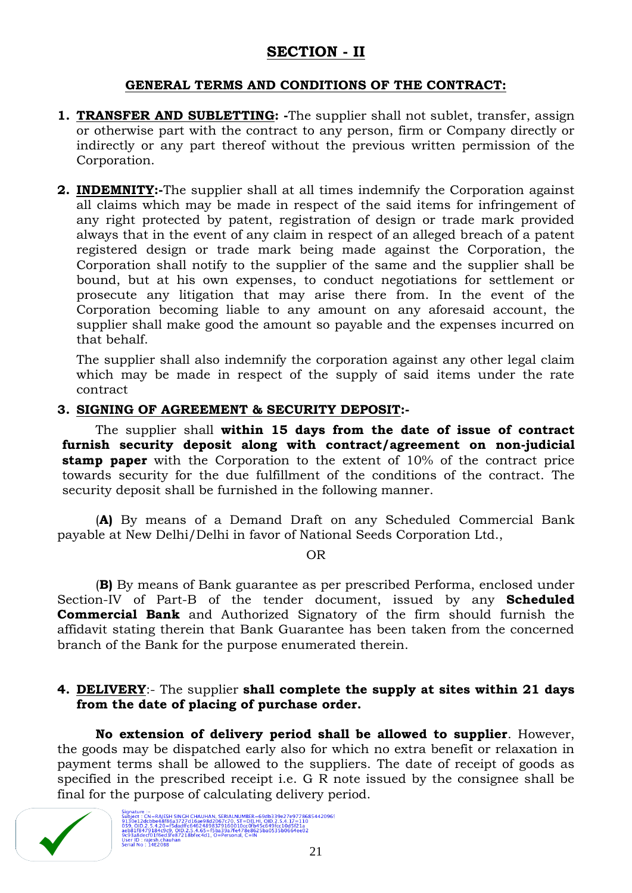# **SECTION - II**

# **GENERAL TERMS AND CONDITIONS OF THE CONTRACT:**

- **1. TRANSFER AND SUBLETTING: -**The supplier shall not sublet, transfer, assign or otherwise part with the contract to any person, firm or Company directly or indirectly or any part thereof without the previous written permission of the Corporation.
- **2. INDEMNITY:-**The supplier shall at all times indemnify the Corporation against all claims which may be made in respect of the said items for infringement of any right protected by patent, registration of design or trade mark provided always that in the event of any claim in respect of an alleged breach of a patent registered design or trade mark being made against the Corporation, the Corporation shall notify to the supplier of the same and the supplier shall be bound, but at his own expenses, to conduct negotiations for settlement or prosecute any litigation that may arise there from. In the event of the Corporation becoming liable to any amount on any aforesaid account, the supplier shall make good the amount so payable and the expenses incurred on that behalf.

The supplier shall also indemnify the corporation against any other legal claim which may be made in respect of the supply of said items under the rate contract

# **3. SIGNING OF AGREEMENT & SECURITY DEPOSIT:-**

The supplier shall **within 15 days from the date of issue of contract furnish security deposit along with contract/agreement on non-judicial stamp paper** with the Corporation to the extent of 10% of the contract price towards security for the due fulfillment of the conditions of the contract. The security deposit shall be furnished in the following manner.

(**A)** By means of a Demand Draft on any Scheduled Commercial Bank payable at New Delhi/Delhi in favor of National Seeds Corporation Ltd.,

OR

(**B)** By means of Bank guarantee as per prescribed Performa, enclosed under Section-IV of Part-B of the tender document, issued by any **Scheduled Commercial Bank** and Authorized Signatory of the firm should furnish the affidavit stating therein that Bank Guarantee has been taken from the concerned branch of the Bank for the purpose enumerated therein.

# **4. DELIVERY**:- The supplier **shall complete the supply at sites within 21 days from the date of placing of purchase order.**

**No extension of delivery period shall be allowed to supplier**. However, the goods may be dispatched early also for which no extra benefit or relaxation in payment terms shall be allowed to the suppliers. The date of receipt of goods as specified in the prescribed receipt i.e. G R note issued by the consignee shall be final for the purpose of calculating delivery period.

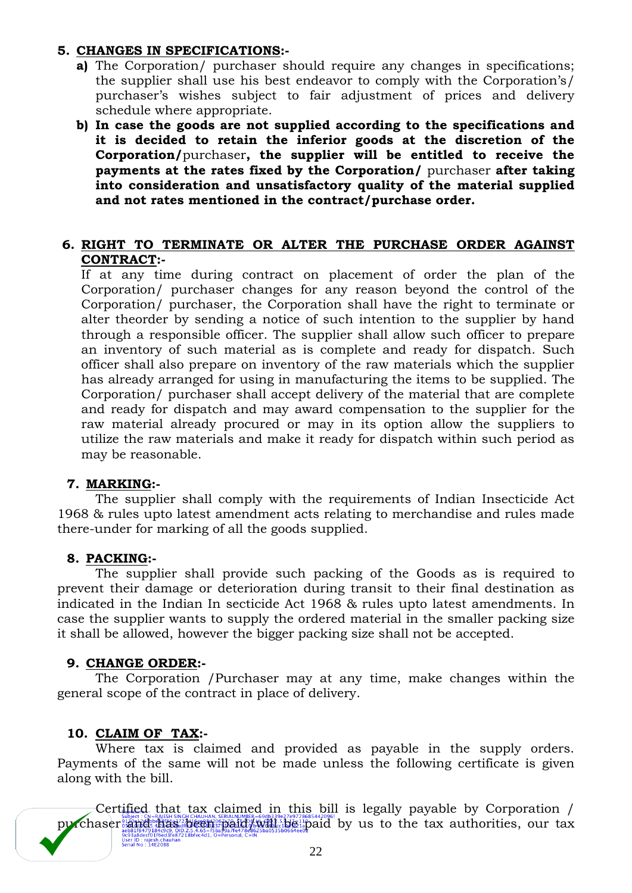# **5. CHANGES IN SPECIFICATIONS:-**

- **a)** The Corporation/ purchaser should require any changes in specifications; the supplier shall use his best endeavor to comply with the Corporation"s/ purchaser"s wishes subject to fair adjustment of prices and delivery schedule where appropriate.
- **b) In case the goods are not supplied according to the specifications and it is decided to retain the inferior goods at the discretion of the Corporation/**purchaser**, the supplier will be entitled to receive the payments at the rates fixed by the Corporation/** purchaser **after taking into consideration and unsatisfactory quality of the material supplied and not rates mentioned in the contract/purchase order.**

# **6. RIGHT TO TERMINATE OR ALTER THE PURCHASE ORDER AGAINST CONTRACT:-**

If at any time during contract on placement of order the plan of the Corporation/ purchaser changes for any reason beyond the control of the Corporation/ purchaser, the Corporation shall have the right to terminate or alter theorder by sending a notice of such intention to the supplier by hand through a responsible officer. The supplier shall allow such officer to prepare an inventory of such material as is complete and ready for dispatch. Such officer shall also prepare on inventory of the raw materials which the supplier has already arranged for using in manufacturing the items to be supplied. The Corporation/ purchaser shall accept delivery of the material that are complete and ready for dispatch and may award compensation to the supplier for the raw material already procured or may in its option allow the suppliers to utilize the raw materials and make it ready for dispatch within such period as may be reasonable.

# **7. MARKING:-**

The supplier shall comply with the requirements of Indian Insecticide Act 1968 & rules upto latest amendment acts relating to merchandise and rules made there-under for marking of all the goods supplied.

# **8. PACKING:-**

The supplier shall provide such packing of the Goods as is required to prevent their damage or deterioration during transit to their final destination as indicated in the Indian In secticide Act 1968 & rules upto latest amendments. In case the supplier wants to supply the ordered material in the smaller packing size it shall be allowed, however the bigger packing size shall not be accepted.

### **9. CHANGE ORDER:-**

The Corporation /Purchaser may at any time, make changes within the general scope of the contract in place of delivery.

# **10. CLAIM OF TAX:-**

Where tax is claimed and provided as payable in the supply orders. Payments of the same will not be made unless the following certificate is given along with the bill.

Certified that tax claimed in this bill is legally payable by Corporation / purchaser and has been paid/will be paid by us to the tax authorities, our tax 9c93a8decf01f6ed3<br>User ID : rajesh.chau<br>Serial No : 14E20BB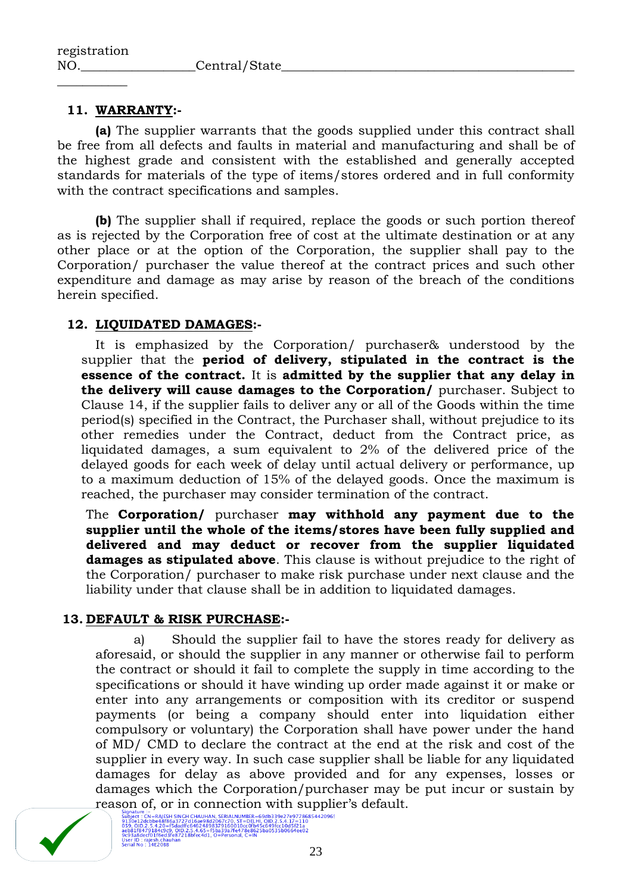# **11. WARRANTY:-**

 $\overline{\phantom{a}}$  , where  $\overline{\phantom{a}}$ 

**(a)** The supplier warrants that the goods supplied under this contract shall be free from all defects and faults in material and manufacturing and shall be of the highest grade and consistent with the established and generally accepted standards for materials of the type of items/stores ordered and in full conformity with the contract specifications and samples.

**(b)** The supplier shall if required, replace the goods or such portion thereof as is rejected by the Corporation free of cost at the ultimate destination or at any other place or at the option of the Corporation, the supplier shall pay to the Corporation/ purchaser the value thereof at the contract prices and such other expenditure and damage as may arise by reason of the breach of the conditions herein specified.

# **12. LIQUIDATED DAMAGES:-**

It is emphasized by the Corporation/ purchaser& understood by the supplier that the **period of delivery, stipulated in the contract is the essence of the contract.** It is **admitted by the supplier that any delay in the delivery will cause damages to the Corporation/** purchaser. Subject to Clause 14, if the supplier fails to deliver any or all of the Goods within the time period(s) specified in the Contract, the Purchaser shall, without prejudice to its other remedies under the Contract, deduct from the Contract price, as liquidated damages, a sum equivalent to 2% of the delivered price of the delayed goods for each week of delay until actual delivery or performance, up to a maximum deduction of 15% of the delayed goods. Once the maximum is reached, the purchaser may consider termination of the contract.

The **Corporation/** purchaser **may withhold any payment due to the supplier until the whole of the items/stores have been fully supplied and delivered and may deduct or recover from the supplier liquidated damages as stipulated above**. This clause is without prejudice to the right of the Corporation/ purchaser to make risk purchase under next clause and the liability under that clause shall be in addition to liquidated damages.

# **13. DEFAULT & RISK PURCHASE:-**

a) Should the supplier fail to have the stores ready for delivery as aforesaid, or should the supplier in any manner or otherwise fail to perform the contract or should it fail to complete the supply in time according to the specifications or should it have winding up order made against it or make or enter into any arrangements or composition with its creditor or suspend payments (or being a company should enter into liquidation either compulsory or voluntary) the Corporation shall have power under the hand of MD/ CMD to declare the contract at the end at the risk and cost of the supplier in every way. In such case supplier shall be liable for any liquidated damages for delay as above provided and for any expenses, losses or damages which the Corporation/purchaser may be put incur or sustain by reason of, or in connection with supplier's default.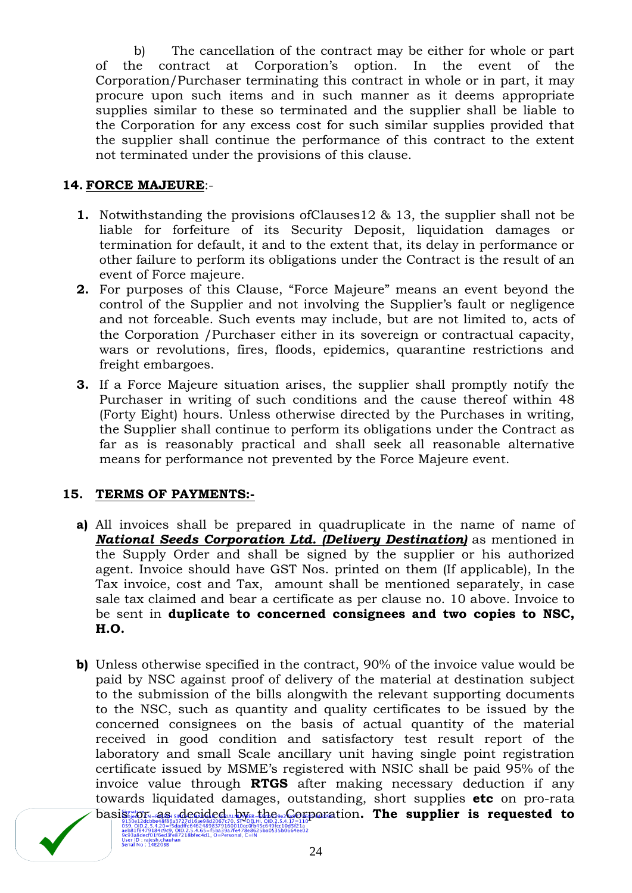b) The cancellation of the contract may be either for whole or part of the contract at Corporation"s option. In the event of the Corporation/Purchaser terminating this contract in whole or in part, it may procure upon such items and in such manner as it deems appropriate supplies similar to these so terminated and the supplier shall be liable to the Corporation for any excess cost for such similar supplies provided that the supplier shall continue the performance of this contract to the extent not terminated under the provisions of this clause.

# **14. FORCE MAJEURE**:-

- **1.** Notwithstanding the provisions ofClauses12 & 13, the supplier shall not be liable for forfeiture of its Security Deposit, liquidation damages or termination for default, it and to the extent that, its delay in performance or other failure to perform its obligations under the Contract is the result of an event of Force majeure.
- **2.** For purposes of this Clause, "Force Majeure" means an event beyond the control of the Supplier and not involving the Supplier"s fault or negligence and not forceable. Such events may include, but are not limited to, acts of the Corporation /Purchaser either in its sovereign or contractual capacity, wars or revolutions, fires, floods, epidemics, quarantine restrictions and freight embargoes.
- **3.** If a Force Majeure situation arises, the supplier shall promptly notify the Purchaser in writing of such conditions and the cause thereof within 48 (Forty Eight) hours. Unless otherwise directed by the Purchases in writing, the Supplier shall continue to perform its obligations under the Contract as far as is reasonably practical and shall seek all reasonable alternative means for performance not prevented by the Force Majeure event.

# **15. TERMS OF PAYMENTS:-**

- **a)** All invoices shall be prepared in quadruplicate in the name of name of *National Seeds Corporation Ltd. (Delivery Destination)* as mentioned in the Supply Order and shall be signed by the supplier or his authorized agent. Invoice should have GST Nos. printed on them (If applicable), In the Tax invoice, cost and Tax, amount shall be mentioned separately, in case sale tax claimed and bear a certificate as per clause no. 10 above. Invoice to be sent in **duplicate to concerned consignees and two copies to NSC, H.O.**
- **b)** Unless otherwise specified in the contract, 90% of the invoice value would be paid by NSC against proof of delivery of the material at destination subject to the submission of the bills alongwith the relevant supporting documents to the NSC, such as quantity and quality certificates to be issued by the concerned consignees on the basis of actual quantity of the material received in good condition and satisfactory test result report of the laboratory and small Scale ancillary unit having single point registration certificate issued by MSME"s registered with NSIC shall be paid 95% of the invoice value through **RTGS** after making necessary deduction if any towards liquidated damages, outstanding, short supplies **etc** on pro-rata basis or as decided by the Corporation. The supplier is requested to 059, 010.2.5.4.20=f5dadff:64624898379160010cc0fb45c649<br>aeb81f8479184c9c9, 010.2.5.4.65=f5ba39a7fe478e8625ba05<br>9c93a8decf01f6ed3fe87218bfec4d1, O=Personal, C=IN<br>User ID : rajesh.chauhan<br>Serial No : 14E2088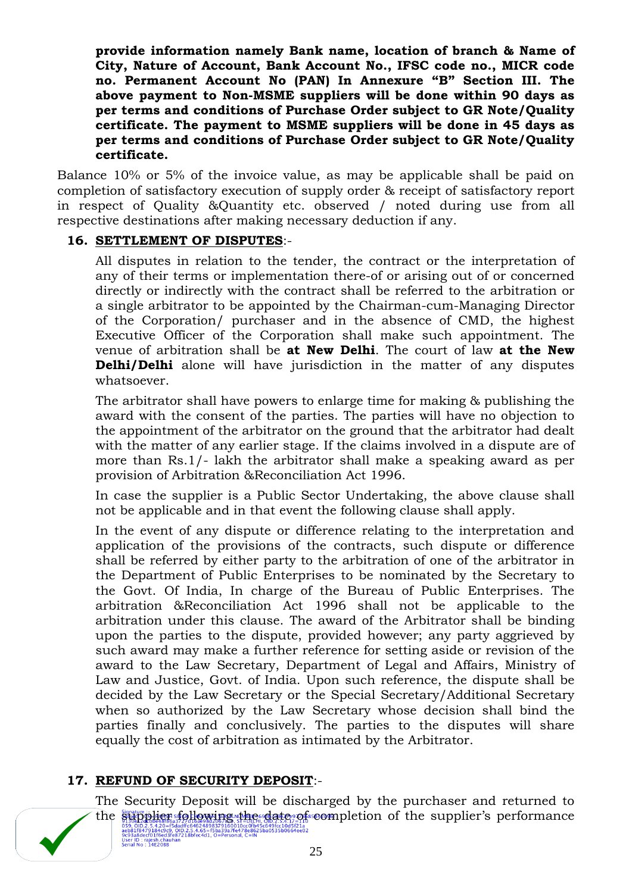**provide information namely Bank name, location of branch & Name of City, Nature of Account, Bank Account No., IFSC code no., MICR code no. Permanent Account No (PAN) In Annexure "B" Section III. The above payment to Non-MSME suppliers will be done within 90 days as per terms and conditions of Purchase Order subject to GR Note/Quality certificate. The payment to MSME suppliers will be done in 45 days as per terms and conditions of Purchase Order subject to GR Note/Quality certificate.** 

Balance 10% or 5% of the invoice value, as may be applicable shall be paid on completion of satisfactory execution of supply order & receipt of satisfactory report in respect of Quality &Quantity etc. observed / noted during use from all respective destinations after making necessary deduction if any.

# **16. SETTLEMENT OF DISPUTES**:-

All disputes in relation to the tender, the contract or the interpretation of any of their terms or implementation there-of or arising out of or concerned directly or indirectly with the contract shall be referred to the arbitration or a single arbitrator to be appointed by the Chairman-cum-Managing Director of the Corporation/ purchaser and in the absence of CMD, the highest Executive Officer of the Corporation shall make such appointment. The venue of arbitration shall be **at New Delhi**. The court of law **at the New Delhi/Delhi** alone will have jurisdiction in the matter of any disputes whatsoever.

The arbitrator shall have powers to enlarge time for making & publishing the award with the consent of the parties. The parties will have no objection to the appointment of the arbitrator on the ground that the arbitrator had dealt with the matter of any earlier stage. If the claims involved in a dispute are of more than Rs.1/- lakh the arbitrator shall make a speaking award as per provision of Arbitration &Reconciliation Act 1996.

In case the supplier is a Public Sector Undertaking, the above clause shall not be applicable and in that event the following clause shall apply.

In the event of any dispute or difference relating to the interpretation and application of the provisions of the contracts, such dispute or difference shall be referred by either party to the arbitration of one of the arbitrator in the Department of Public Enterprises to be nominated by the Secretary to the Govt. Of India, In charge of the Bureau of Public Enterprises. The arbitration &Reconciliation Act 1996 shall not be applicable to the arbitration under this clause. The award of the Arbitrator shall be binding upon the parties to the dispute, provided however; any party aggrieved by such award may make a further reference for setting aside or revision of the award to the Law Secretary, Department of Legal and Affairs, Ministry of Law and Justice, Govt. of India. Upon such reference, the dispute shall be decided by the Law Secretary or the Special Secretary/Additional Secretary when so authorized by the Law Secretary whose decision shall bind the parties finally and conclusively. The parties to the disputes will share equally the cost of arbitration as intimated by the Arbitrator.

# **17. REFUND OF SECURITY DEPOSIT**:-

The Security Deposit will be discharged by the purchaser and returned to the supplier following the date of completion of the supplier"s performance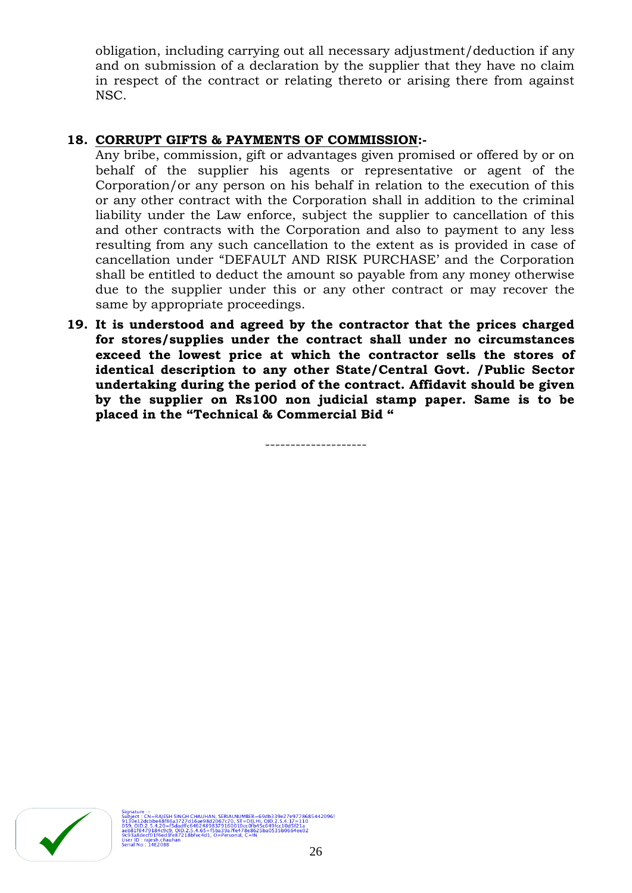obligation, including carrying out all necessary adjustment/deduction if any and on submission of a declaration by the supplier that they have no claim in respect of the contract or relating thereto or arising there from against NSC.

# **18. CORRUPT GIFTS & PAYMENTS OF COMMISSION:-**

Any bribe, commission, gift or advantages given promised or offered by or on behalf of the supplier his agents or representative or agent of the Corporation/or any person on his behalf in relation to the execution of this or any other contract with the Corporation shall in addition to the criminal liability under the Law enforce, subject the supplier to cancellation of this and other contracts with the Corporation and also to payment to any less resulting from any such cancellation to the extent as is provided in case of cancellation under "DEFAULT AND RISK PURCHASE" and the Corporation shall be entitled to deduct the amount so payable from any money otherwise due to the supplier under this or any other contract or may recover the same by appropriate proceedings.

**19. It is understood and agreed by the contractor that the prices charged for stores/supplies under the contract shall under no circumstances exceed the lowest price at which the contractor sells the stores of identical description to any other State/Central Govt. /Public Sector undertaking during the period of the contract. Affidavit should be given by the supplier on Rs100 non judicial stamp paper. Same is to be placed in the "Technical & Commercial Bid "**

--------------------

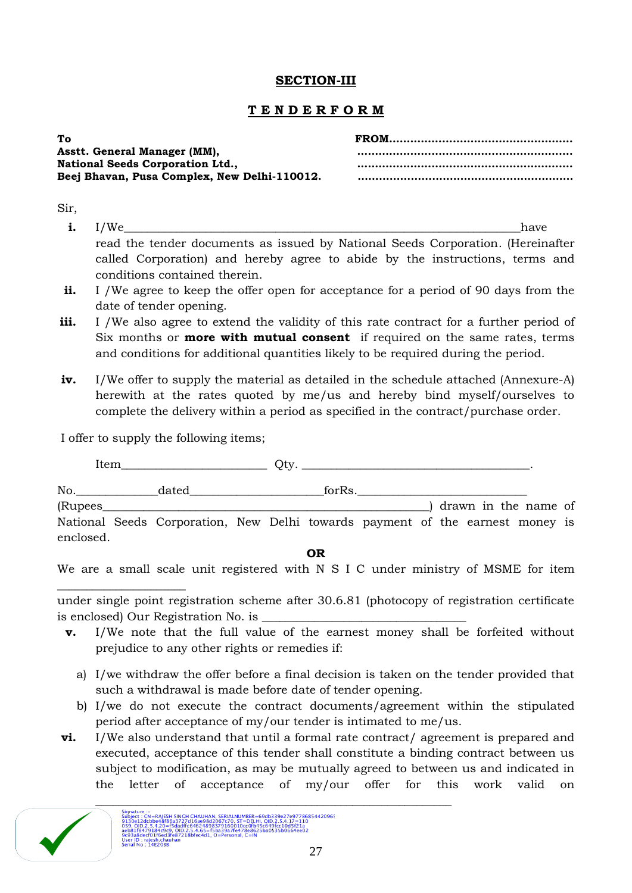# **SECTION-III**

# **T E N D E R F O R M**

| Тo                                           |  |
|----------------------------------------------|--|
| Asstt. General Manager (MM),                 |  |
| <b>National Seeds Corporation Ltd.,</b>      |  |
| Beej Bhavan, Pusa Complex, New Delhi-110012. |  |
|                                              |  |

Sir,

- **i.** I/We have read the tender documents as issued by National Seeds Corporation. (Hereinafter called Corporation) and hereby agree to abide by the instructions, terms and conditions contained therein.
- **ii.** I /We agree to keep the offer open for acceptance for a period of 90 days from the date of tender opening.
- iii. I /We also agree to extend the validity of this rate contract for a further period of Six months or **more with mutual consent** if required on the same rates, terms and conditions for additional quantities likely to be required during the period.
- **iv.** I/We offer to supply the material as detailed in the schedule attached (Annexure-A) herewith at the rates quoted by me/us and hereby bind myself/ourselves to complete the delivery within a period as specified in the contract/purchase order.

I offer to supply the following items;

\_\_\_\_\_\_\_\_\_\_\_\_\_\_\_\_\_\_\_\_\_\_

Item\_\_\_\_\_\_\_\_\_\_\_\_\_\_\_\_\_\_\_\_\_\_\_\_\_ Qty. \_\_\_\_\_\_\_\_\_\_\_\_\_\_\_\_\_\_\_\_\_\_\_\_\_\_\_\_\_\_\_\_\_\_\_\_\_\_\_.

| No.       | dated                                                                         |  | forRs. |  |  |                        |  |
|-----------|-------------------------------------------------------------------------------|--|--------|--|--|------------------------|--|
| (Rupees   |                                                                               |  |        |  |  | ) drawn in the name of |  |
|           | National Seeds Corporation, New Delhi towards payment of the earnest money is |  |        |  |  |                        |  |
| enclosed. |                                                                               |  |        |  |  |                        |  |

**OR**

We are a small scale unit registered with N S I C under ministry of MSME for item

under single point registration scheme after 30.6.81 (photocopy of registration certificate is enclosed) Our Registration No. is \_\_\_\_\_\_\_\_\_\_\_\_\_\_\_\_\_\_\_\_\_\_\_\_\_\_\_\_\_\_\_\_\_\_\_

- **v.** I/We note that the full value of the earnest money shall be forfeited without prejudice to any other rights or remedies if:
	- a) I/we withdraw the offer before a final decision is taken on the tender provided that such a withdrawal is made before date of tender opening.
	- b) I/we do not execute the contract documents/agreement within the stipulated period after acceptance of my/our tender is intimated to me/us.
- **vi.** I/We also understand that until a formal rate contract/ agreement is prepared and executed, acceptance of this tender shall constitute a binding contract between us subject to modification, as may be mutually agreed to between us and indicated in the letter of acceptance of my/our offer for this work valid on

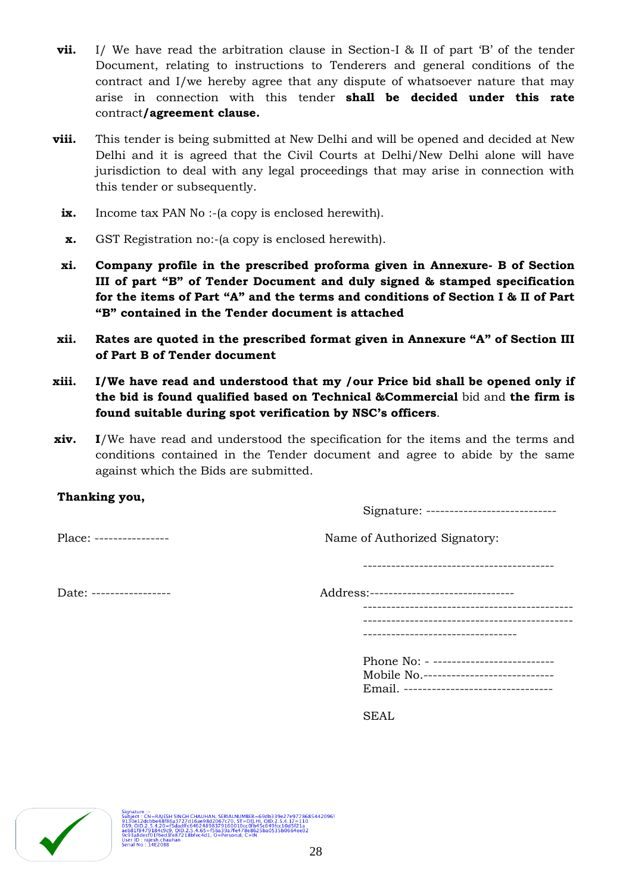- **vii.** I/ We have read the arbitration clause in Section-I & II of part 'B' of the tender Document, relating to instructions to Tenderers and general conditions of the contract and I/we hereby agree that any dispute of whatsoever nature that may arise in connection with this tender **shall be decided under this rate**  contract**/agreement clause.**
- **viii.** This tender is being submitted at New Delhi and will be opened and decided at New Delhi and it is agreed that the Civil Courts at Delhi/New Delhi alone will have jurisdiction to deal with any legal proceedings that may arise in connection with this tender or subsequently.
	- **ix.** Income tax PAN No :-(a copy is enclosed herewith).
	- **x.** GST Registration no:-(a copy is enclosed herewith).
	- **xi. Company profile in the prescribed proforma given in Annexure- B of Section III of part "B" of Tender Document and duly signed & stamped specification for the items of Part "A" and the terms and conditions of Section I & II of Part "B" contained in the Tender document is attached**
- **xii. Rates are quoted in the prescribed format given in Annexure "A" of Section III of Part B of Tender document**
- **xiii. I/We have read and understood that my /our Price bid shall be opened only if the bid is found qualified based on Technical &Commercial** bid and **the firm is found suitable during spot verification by NSC"s officers**.
- **xiv. I**/We have read and understood the specification for the items and the terms and conditions contained in the Tender document and agree to abide by the same against which the Bids are submitted.

# **Thanking you,**

Signature: ----------------------------

-----------------------------------------

Place: ---------------- Name of Authorized Signatory:

Date: ----------------- Address:------------------------------- --------------------------------------------- --------------------------------------------- --------------------------------- Phone No: - ---------------------------Mobile No.---------------------------- Email. --------------------------------

SEAL

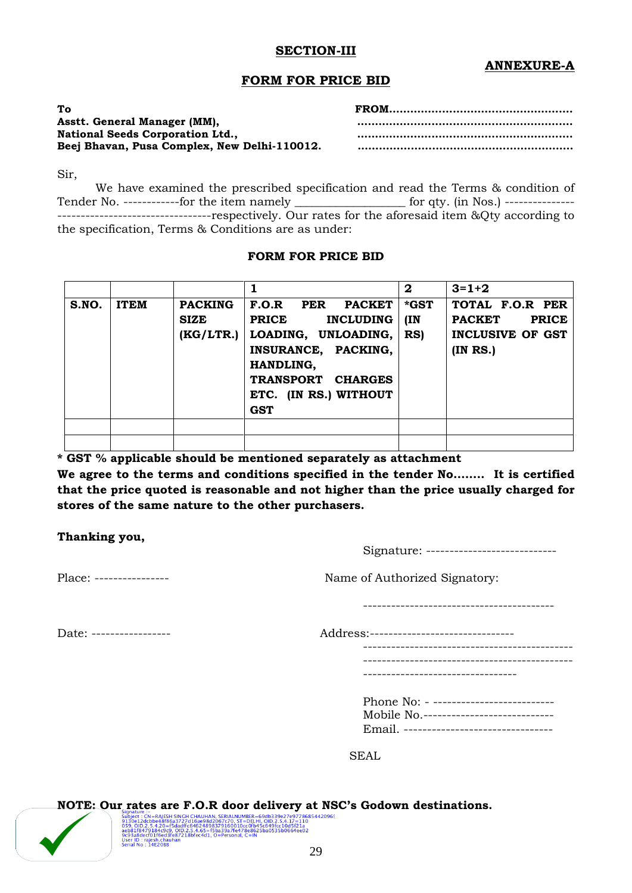### **SECTION-III**

# **ANNEXURE-A**

### **FORM FOR PRICE BID**

| To                                           |  |
|----------------------------------------------|--|
| Asstt. General Manager (MM),                 |  |
| <b>National Seeds Corporation Ltd.,</b>      |  |
| Beej Bhavan, Pusa Complex, New Delhi-110012. |  |
|                                              |  |

Sir,

We have examined the prescribed specification and read the Terms & condition of Tender No. ------------for the item namely \_\_\_\_\_\_\_\_\_\_\_\_\_\_\_\_\_\_\_\_\_\_ for qty. (in Nos.) ------------------------------------------------respectively. Our rates for the aforesaid item &Qty according to the specification, Terms & Conditions are as under:

### **FORM FOR PRICE BID**

|       |             |                                            |                                                                                                                                                                                          | $\mathbf{2}$        | $3 = 1 + 2$                                                                            |
|-------|-------------|--------------------------------------------|------------------------------------------------------------------------------------------------------------------------------------------------------------------------------------------|---------------------|----------------------------------------------------------------------------------------|
| S.NO. | <b>ITEM</b> | <b>PACKING</b><br><b>SIZE</b><br>(KG/LTR.) | F.O.R<br><b>PACKET</b><br>PER<br><b>PRICE</b><br><b>INCLUDING</b><br>LOADING, UNLOADING,<br>INSURANCE, PACKING,<br>HANDLING,<br>TRANSPORT CHARGES<br>ETC. (IN RS.) WITHOUT<br><b>GST</b> | *GST<br>(IN)<br>RS) | TOTAL F.O.R PER<br><b>PACKET</b><br><b>PRICE</b><br><b>INCLUSIVE OF GST</b><br>(INRS.) |
|       |             |                                            |                                                                                                                                                                                          |                     |                                                                                        |

**\* GST % applicable should be mentioned separately as attachment**

**We agree to the terms and conditions specified in the tender No…….. It is certified that the price quoted is reasonable and not higher than the price usually charged for stores of the same nature to the other purchasers.**

**Thanking you,**

Signature: ----------------------------

Place: ---------------- Name of Authorized Signatory:

-----------------------------------------

Date: ----------------- Address:-------------------------------

---------------------------------------------

---------------------------------------------

|  | ---------------------------------- |  |
|--|------------------------------------|--|
|  |                                    |  |

| Phone No: - --------------------------   |
|------------------------------------------|
| Mobile No. ----------------------------  |
| Email. --------------------------------- |

SEAL

# Signature Entertainment and the control of the CHIVETY at NS and the Subset CRIP AND SUSPARISM SERVING THE MAGNETIC CRIP AND SUSPAPISM (1996) (1997) (1998) (1998) (1998) (1998) (1998) (1998) (1998) (1998) (1998) (1998) (19 **NOTE: Our rates are F.O.R door delivery at NSC"s Godown destinations.**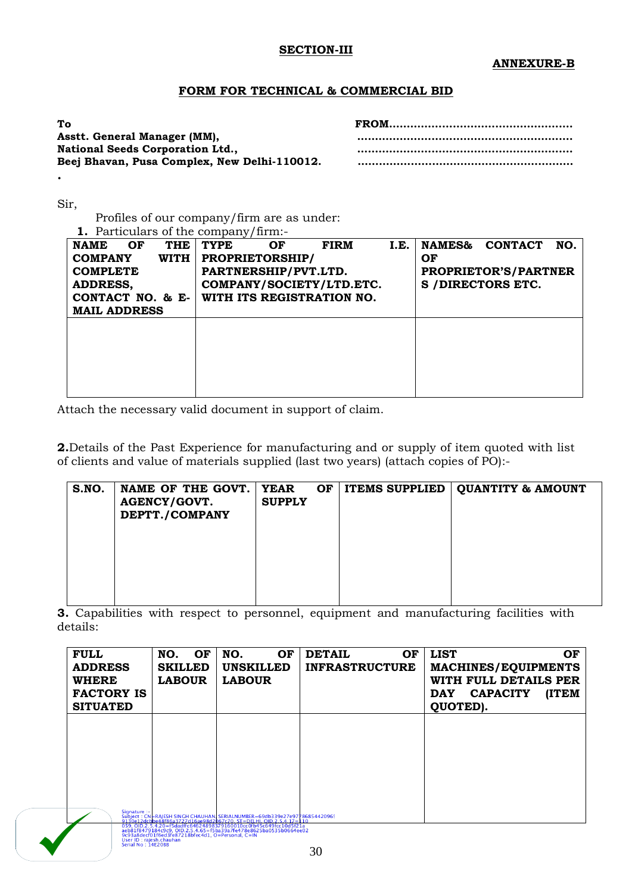### **SECTION-III**

### **FORM FOR TECHNICAL & COMMERCIAL BID**

| To                                           |  |
|----------------------------------------------|--|
| Asstt. General Manager (MM),                 |  |
| <b>National Seeds Corporation Ltd.,</b>      |  |
| Beej Bhavan, Pusa Complex, New Delhi-110012. |  |
|                                              |  |

Sir,

**.**

Profiles of our company/firm are as under: **1.** Particulars of the company/firm:-

| <b>NAME</b>         | OF | <b>THE</b> | <b>TYPE</b>            | OF | <b>FIRM</b>               | I.E. | <b>NAMES&amp;</b> | <b>CONTACT</b>              | NO. |
|---------------------|----|------------|------------------------|----|---------------------------|------|-------------------|-----------------------------|-----|
| <b>COMPANY</b>      |    | WITH I     | <b>PROPRIETORSHIP/</b> |    |                           |      | OF                |                             |     |
| <b>COMPLETE</b>     |    |            | PARTNERSHIP/PVT.LTD.   |    |                           |      |                   | <b>PROPRIETOR'S/PARTNER</b> |     |
| <b>ADDRESS,</b>     |    |            |                        |    | COMPANY/SOCIETY/LTD.ETC.  |      |                   | <b>S /DIRECTORS ETC.</b>    |     |
| CONTACT NO. & $E-$  |    |            |                        |    | WITH ITS REGISTRATION NO. |      |                   |                             |     |
| <b>MAIL ADDRESS</b> |    |            |                        |    |                           |      |                   |                             |     |
|                     |    |            |                        |    |                           |      |                   |                             |     |
|                     |    |            |                        |    |                           |      |                   |                             |     |
|                     |    |            |                        |    |                           |      |                   |                             |     |
|                     |    |            |                        |    |                           |      |                   |                             |     |
|                     |    |            |                        |    |                           |      |                   |                             |     |
|                     |    |            |                        |    |                           |      |                   |                             |     |

Attach the necessary valid document in support of claim.

**2.**Details of the Past Experience for manufacturing and or supply of item quoted with list of clients and value of materials supplied (last two years) (attach copies of PO):-

| S.NO. | NAME OF THE GOVT.<br><b>AGENCY/GOVT.</b><br>DEPTT./COMPANY | <b>YEAR</b><br><b>SUPPLY</b> | OF | <b>ITEMS SUPPLIED   QUANTITY &amp; AMOUNT</b> |
|-------|------------------------------------------------------------|------------------------------|----|-----------------------------------------------|
|       |                                                            |                              |    |                                               |
|       |                                                            |                              |    |                                               |

**3.** Capabilities with respect to personnel, equipment and manufacturing facilities with details:

| <b>FULL</b><br><b>ADDRESS</b><br><b>WHERE</b><br><b>FACTORY IS</b><br><b>SITUATED</b> | OF<br>NO.<br><b>SKILLED</b><br><b>LABOUR</b> | NO.<br>OF<br><b>UNSKILLED</b><br><b>LABOUR</b>                                                                                                                                                                                  | <b>DETAIL</b><br><b>OF</b><br><b>INFRASTRUCTURE</b> | <b>LIST</b><br>OF<br><b>MACHINES/EQUIPMENTS</b><br>WITH FULL DETAILS PER<br>(ITEM<br><b>CAPACITY</b><br><b>DAY</b><br>QUOTED). |
|---------------------------------------------------------------------------------------|----------------------------------------------|---------------------------------------------------------------------------------------------------------------------------------------------------------------------------------------------------------------------------------|-----------------------------------------------------|--------------------------------------------------------------------------------------------------------------------------------|
|                                                                                       |                                              |                                                                                                                                                                                                                                 |                                                     |                                                                                                                                |
|                                                                                       |                                              |                                                                                                                                                                                                                                 |                                                     |                                                                                                                                |
|                                                                                       |                                              | Signature :-<br>Subject : CN=RAJESH SINGH CHAUHANI SERIALNUMBER=69db339e27e97186854420965<br>9130e12dcbbe48f86a3727d16ae98d2067c70, ST=DELHI, QID,2,5,4,17=110<br>059 00 25 420-f5dadffc64624898379160010cc0fb45c649fcc10d5f21a |                                                     |                                                                                                                                |

059, OID.2.5.4.20=f5dadffc64624898379160010cc0fb45c649fcc10d5f21a<br>aeb81f8479184c9c9, OID.2.5.4.65=f5ba39a7fe478e8625ba0535b0664ee02<br>9c93a8decf01f6ed3fe87218bfec4d1, O=Personal, C=IN<br>Serial No : 14E2088<br>Serial No : 14E2088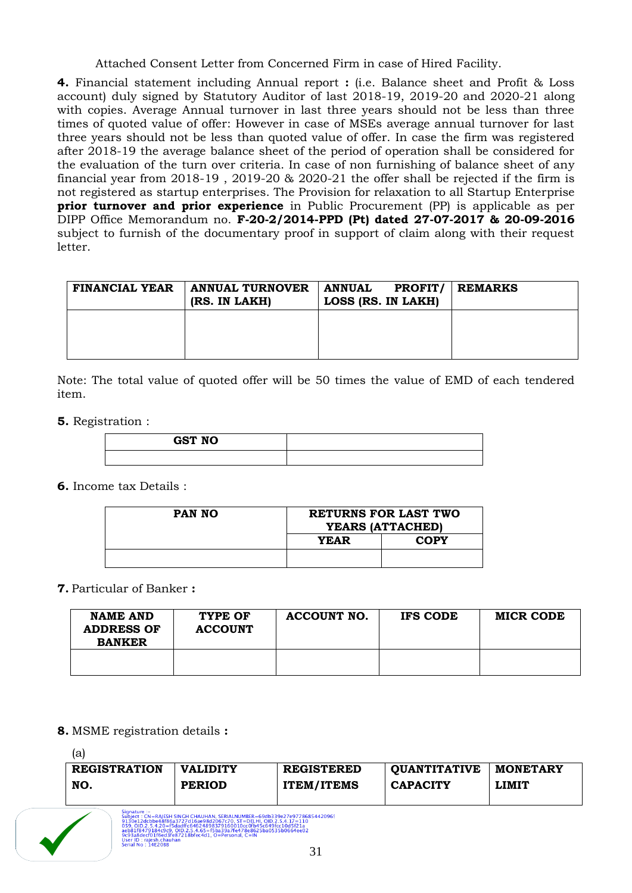Attached Consent Letter from Concerned Firm in case of Hired Facility.

**4.** Financial statement including Annual report **:** (i.e. Balance sheet and Profit & Loss account) duly signed by Statutory Auditor of last 2018-19, 2019-20 and 2020-21 along with copies. Average Annual turnover in last three years should not be less than three times of quoted value of offer: However in case of MSEs average annual turnover for last three years should not be less than quoted value of offer. In case the firm was registered after 2018-19 the average balance sheet of the period of operation shall be considered for the evaluation of the turn over criteria. In case of non furnishing of balance sheet of any financial year from 2018-19 , 2019-20 & 2020-21 the offer shall be rejected if the firm is not registered as startup enterprises. The Provision for relaxation to all Startup Enterprise **prior turnover and prior experience** in Public Procurement (PP) is applicable as per DIPP Office Memorandum no. **F-20-2/2014-PPD (Pt) dated 27-07-2017 & 20-09-2016** subject to furnish of the documentary proof in support of claim along with their request letter.

| <b>FINANCIAL YEAR</b> | <b>ANNUAL TURNOVER</b><br>(RS. IN LAKH) | <b>PROFIT/</b><br>  ANNUAL<br>LOSS (RS. IN LAKH) | <b>REMARKS</b> |
|-----------------------|-----------------------------------------|--------------------------------------------------|----------------|
|                       |                                         |                                                  |                |
|                       |                                         |                                                  |                |

Note: The total value of quoted offer will be 50 times the value of EMD of each tendered item.

**5.** Registration :

| <b>GST NO</b> |  |
|---------------|--|
|               |  |

**6.** Income tax Details :

| PAN NO | RETURNS FOR LAST TWO<br>YEARS (ATTACHED) |             |  |
|--------|------------------------------------------|-------------|--|
|        | <b>YEAR</b>                              | <b>COPY</b> |  |
|        |                                          |             |  |

# **7.** Particular of Banker **:**

| <b>NAME AND</b><br><b>ADDRESS OF</b><br><b>BANKER</b> | TYPE OF<br><b>ACCOUNT</b> | <b>ACCOUNT NO.</b> | IFS CODE | <b>MICR CODE</b> |
|-------------------------------------------------------|---------------------------|--------------------|----------|------------------|
|                                                       |                           |                    |          |                  |

# **8.** MSME registration details **:**

(a)

| <b>REGISTRATION</b> | <b>VALIDITY</b> | <b>REGISTERED</b> | OUANTITATIVE    | <b>MONETARY</b> |
|---------------------|-----------------|-------------------|-----------------|-----------------|
| NO.                 | <b>PERIOD</b>   | <b>ITEM/ITEMS</b> | <b>CAPACITY</b> | <b>LIMIT</b>    |

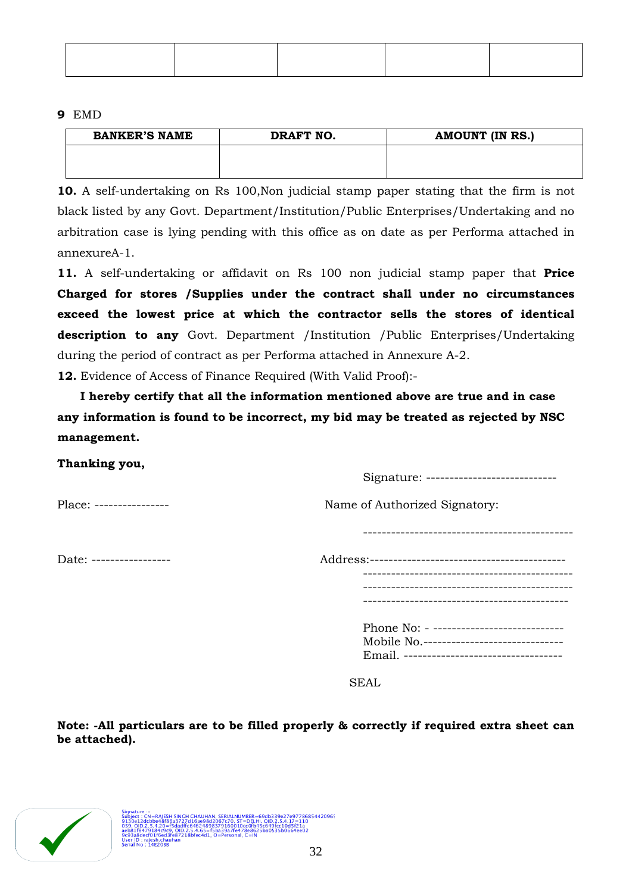### **9** EMD

| <b>BANKER'S NAME</b> | DRAFT NO. | <b>AMOUNT (IN RS.)</b> |
|----------------------|-----------|------------------------|
|                      |           |                        |
|                      |           |                        |

**10.** A self-undertaking on Rs 100,Non judicial stamp paper stating that the firm is not black listed by any Govt. Department/Institution/Public Enterprises/Undertaking and no arbitration case is lying pending with this office as on date as per Performa attached in annexureA-1.

**11.** A self-undertaking or affidavit on Rs 100 non judicial stamp paper that **Price Charged for stores /Supplies under the contract shall under no circumstances exceed the lowest price at which the contractor sells the stores of identical description to any** Govt. Department /Institution /Public Enterprises/Undertaking during the period of contract as per Performa attached in Annexure A-2.

**12.** Evidence of Access of Finance Required (With Valid Proof):-

**I hereby certify that all the information mentioned above are true and in case any information is found to be incorrect, my bid may be treated as rejected by NSC management.** 

### **Thanking you,**

Signature: ----------------------------

Place: ---------------- Name of Authorized Signatory:

Date: ----------------- Address:------------------------------------------ --------------------------------------------- --------------------------------------------- -------------------------------------------- Phone No: - ------------------------------Mobile No.------------------------------ Email. ----------------------------------

SEAL

**Note: -All particulars are to be filled properly & correctly if required extra sheet can be attached).**

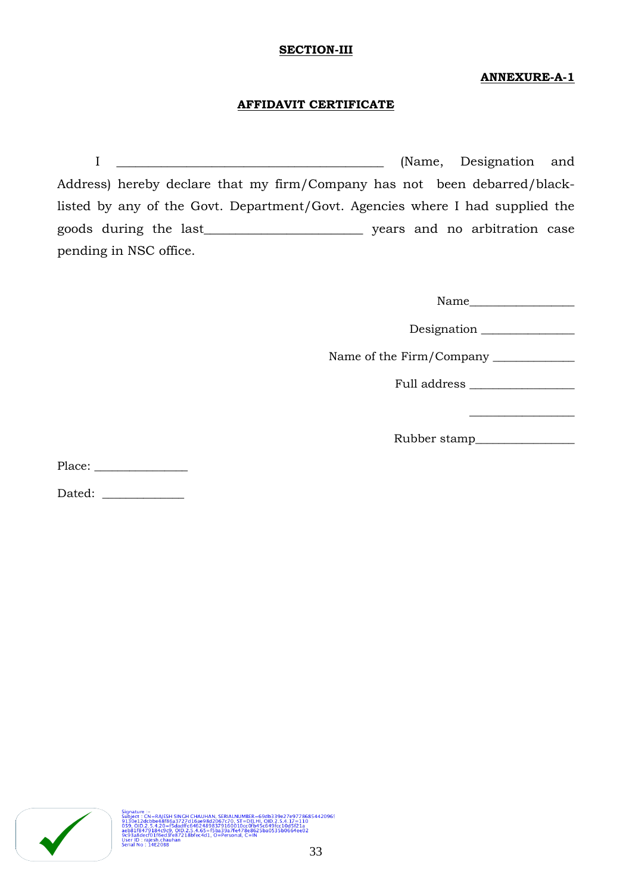### **SECTION-III**

# **ANNEXURE-A-1**

# **AFFIDAVIT CERTIFICATE**

I Construction and  $\Gamma$  (Name, Designation and Address) hereby declare that my firm/Company has not been debarred/blacklisted by any of the Govt. Department/Govt. Agencies where I had supplied the goods during the last\_\_\_\_\_\_\_\_\_\_\_\_\_\_\_\_\_\_\_\_\_\_\_\_\_ years and no arbitration case pending in NSC office.

Name\_\_\_\_\_\_\_\_\_\_\_\_\_\_\_\_\_\_

 $\_$ 

Designation \_\_\_\_\_\_\_\_\_\_\_\_\_\_\_\_

Name of the Firm/Company \_\_\_\_\_\_\_\_\_\_\_\_\_\_

Full address \_\_\_\_\_\_\_\_\_\_\_\_\_\_\_\_\_\_

Rubber stamp\_\_\_\_\_\_\_\_\_\_\_\_\_\_\_\_\_

Place: \_\_\_\_\_\_\_\_\_\_\_\_\_\_\_\_

Dated:

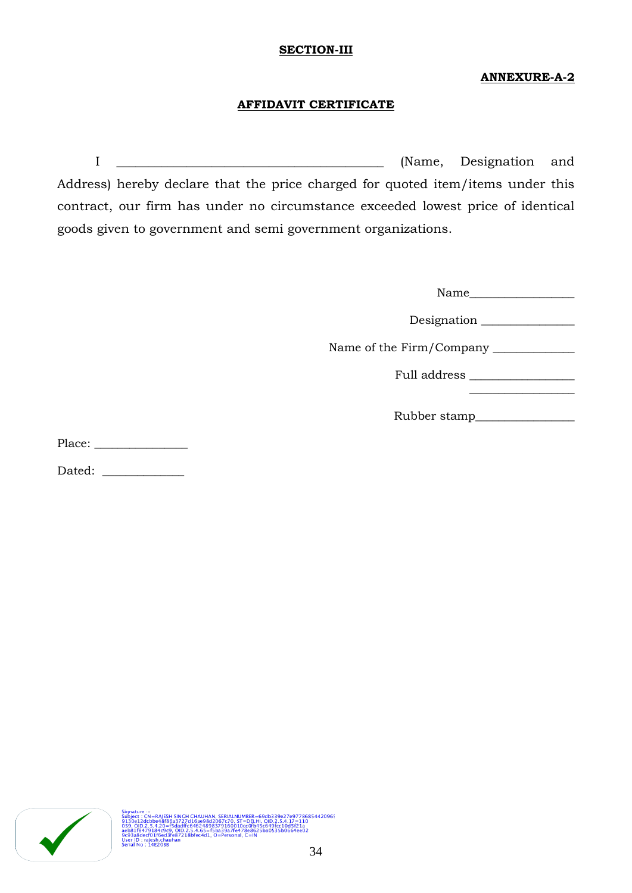### **SECTION-III**

# **ANNEXURE-A-2**

# **AFFIDAVIT CERTIFICATE**

I Construction and  $\Gamma$  (Name, Designation and Address) hereby declare that the price charged for quoted item/items under this contract, our firm has under no circumstance exceeded lowest price of identical goods given to government and semi government organizations.

| Name                            |  |
|---------------------------------|--|
| Designation                     |  |
| Name of the Firm/Company ______ |  |
| Full address                    |  |
|                                 |  |

Rubber stamp\_\_\_\_\_\_\_\_\_\_\_\_\_\_\_\_\_

Place: \_\_\_\_\_\_\_\_\_\_\_\_\_\_\_\_

Dated: \_\_\_\_\_\_\_\_\_\_\_\_\_\_



Subject : CN=RAISSH SINCH CHAUHAN, SERIALNUMBER=69db339e27e97786854420965<br>9130e12dcbbe48f86a3727d15ae98d2067z70, ST=DELH, OID.2.5.4.17=110<br>059, OID.2.5.4.20=f5dadffc64624898379160010cc0fb45c649fcc10d5f21a<br>aeb81f8479184e9c9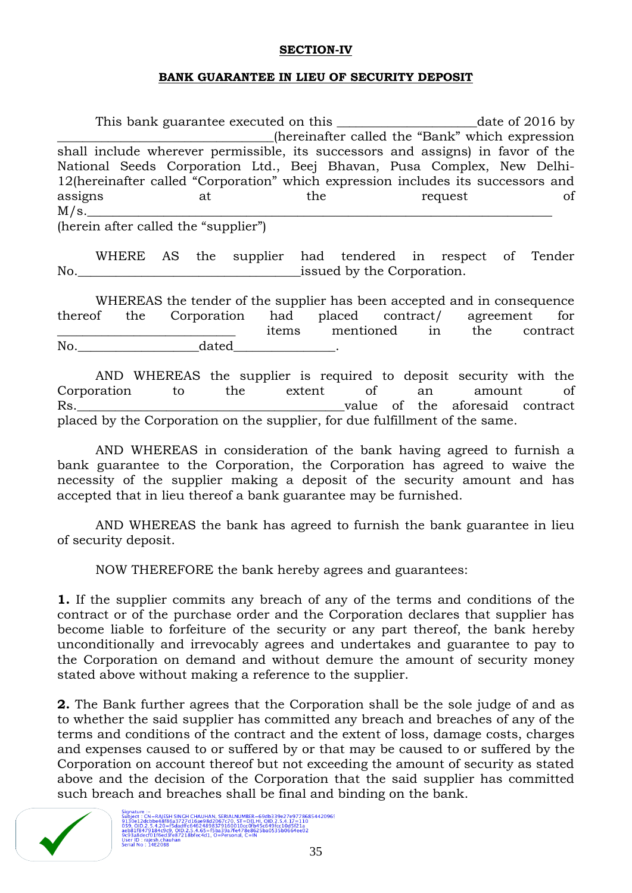# **SECTION-IV**

### **BANK GUARANTEE IN LIEU OF SECURITY DEPOSIT**

This bank guarantee executed on this date of 2016 by \_\_\_\_\_\_\_\_\_\_\_\_\_\_\_\_\_\_\_\_\_\_\_\_\_\_\_\_\_\_\_\_\_\_(hereinafter called the "Bank" which expression shall include wherever permissible, its successors and assigns) in favor of the National Seeds Corporation Ltd., Beej Bhavan, Pusa Complex, New Delhi-12(hereinafter called "Corporation" which expression includes its successors and assigns at the request of  $M/s.$ 

(herein after called the "supplier")

WHERE AS the supplier had tendered in respect of Tender No. The component of the Corporation.

WHEREAS the tender of the supplier has been accepted and in consequence thereof the Corporation had placed contract/ agreement for items mentioned in the contract No. the dated  $\alpha$ 

AND WHEREAS the supplier is required to deposit security with the Corporation to the extent of an amount of Rs. The state of the aforesaid contract and  $\mathbf{R}$ s. The aforesaid contract and  $\mathbf{R}$ s. placed by the Corporation on the supplier, for due fulfillment of the same.

AND WHEREAS in consideration of the bank having agreed to furnish a bank guarantee to the Corporation, the Corporation has agreed to waive the necessity of the supplier making a deposit of the security amount and has accepted that in lieu thereof a bank guarantee may be furnished.

AND WHEREAS the bank has agreed to furnish the bank guarantee in lieu of security deposit.

NOW THEREFORE the bank hereby agrees and guarantees:

**1.** If the supplier commits any breach of any of the terms and conditions of the contract or of the purchase order and the Corporation declares that supplier has become liable to forfeiture of the security or any part thereof, the bank hereby unconditionally and irrevocably agrees and undertakes and guarantee to pay to the Corporation on demand and without demure the amount of security money stated above without making a reference to the supplier.

**2.** The Bank further agrees that the Corporation shall be the sole judge of and as to whether the said supplier has committed any breach and breaches of any of the terms and conditions of the contract and the extent of loss, damage costs, charges and expenses caused to or suffered by or that may be caused to or suffered by the Corporation on account thereof but not exceeding the amount of security as stated above and the decision of the Corporation that the said supplier has committed such breach and breaches shall be final and binding on the bank.

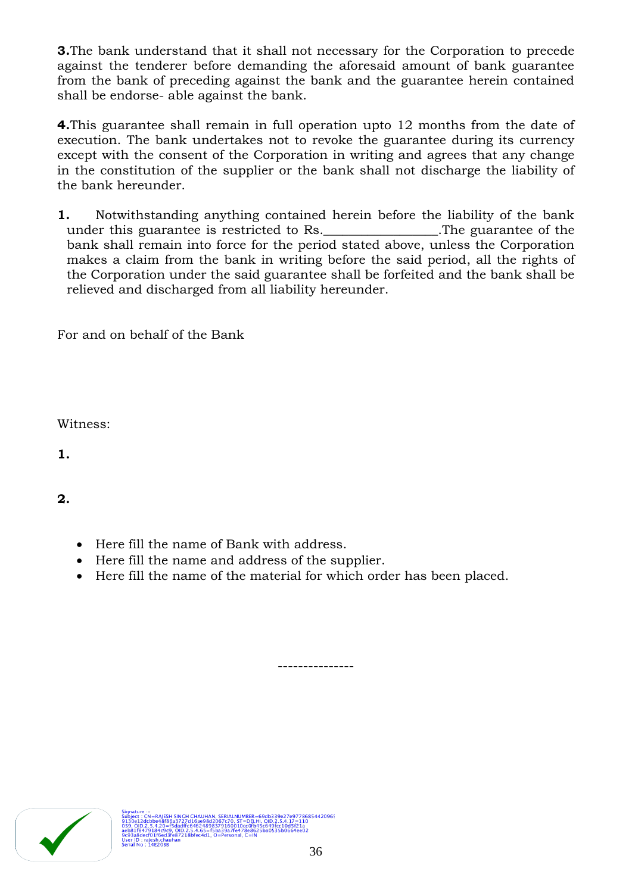**3.**The bank understand that it shall not necessary for the Corporation to precede against the tenderer before demanding the aforesaid amount of bank guarantee from the bank of preceding against the bank and the guarantee herein contained shall be endorse- able against the bank.

**4.**This guarantee shall remain in full operation upto 12 months from the date of execution. The bank undertakes not to revoke the guarantee during its currency except with the consent of the Corporation in writing and agrees that any change in the constitution of the supplier or the bank shall not discharge the liability of the bank hereunder.

**1.** Notwithstanding anything contained herein before the liability of the bank under this guarantee is restricted to Rs.<br>
<u>Lettically</u> CDs. bank shall remain into force for the period stated above, unless the Corporation makes a claim from the bank in writing before the said period, all the rights of the Corporation under the said guarantee shall be forfeited and the bank shall be relieved and discharged from all liability hereunder.

For and on behalf of the Bank

Witness:

**1.**

**2.**

- Here fill the name of Bank with address.
- Here fill the name and address of the supplier.
- Here fill the name of the material for which order has been placed.



---------------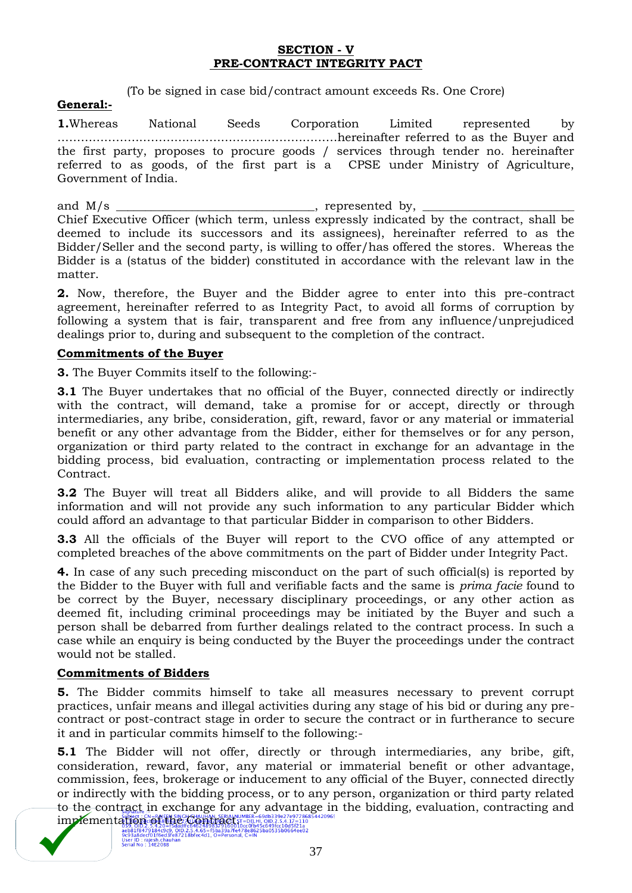# **SECTION - V PRE-CONTRACT INTEGRITY PACT**

(To be signed in case bid/contract amount exceeds Rs. One Crore)

### **General:-**

**1.**Whereas National Seeds Corporation Limited represented by ………………………………………………………………hereinafter referred to as the Buyer and the first party, proposes to procure goods / services through tender no. hereinafter referred to as goods, of the first part is a CPSE under Ministry of Agriculture, Government of India.

and  $M/s$  \_\_\_\_\_\_\_\_\_\_\_\_\_\_\_\_\_\_\_\_\_\_\_\_\_\_\_\_\_\_\_\_\_, represented by, Chief Executive Officer (which term, unless expressly indicated by the contract, shall be deemed to include its successors and its assignees), hereinafter referred to as the Bidder/Seller and the second party, is willing to offer/has offered the stores. Whereas the Bidder is a (status of the bidder) constituted in accordance with the relevant law in the matter.

**2.** Now, therefore, the Buyer and the Bidder agree to enter into this pre-contract agreement, hereinafter referred to as Integrity Pact, to avoid all forms of corruption by following a system that is fair, transparent and free from any influence/unprejudiced dealings prior to, during and subsequent to the completion of the contract.

# **Commitments of the Buyer**

**3.** The Buyer Commits itself to the following:-

**3.1** The Buyer undertakes that no official of the Buyer, connected directly or indirectly with the contract, will demand, take a promise for or accept, directly or through intermediaries, any bribe, consideration, gift, reward, favor or any material or immaterial benefit or any other advantage from the Bidder, either for themselves or for any person, organization or third party related to the contract in exchange for an advantage in the bidding process, bid evaluation, contracting or implementation process related to the Contract.

**3.2** The Buyer will treat all Bidders alike, and will provide to all Bidders the same information and will not provide any such information to any particular Bidder which could afford an advantage to that particular Bidder in comparison to other Bidders.

**3.3** All the officials of the Buyer will report to the CVO office of any attempted or completed breaches of the above commitments on the part of Bidder under Integrity Pact.

**4.** In case of any such preceding misconduct on the part of such official(s) is reported by the Bidder to the Buyer with full and verifiable facts and the same is *prima facie* found to be correct by the Buyer, necessary disciplinary proceedings, or any other action as deemed fit, including criminal proceedings may be initiated by the Buyer and such a person shall be debarred from further dealings related to the contract process. In such a case while an enquiry is being conducted by the Buyer the proceedings under the contract would not be stalled.

# **Commitments of Bidders**

**5.** The Bidder commits himself to take all measures necessary to prevent corrupt practices, unfair means and illegal activities during any stage of his bid or during any precontract or post-contract stage in order to secure the contract or in furtherance to secure it and in particular commits himself to the following:-

**5.1** The Bidder will not offer, directly or through intermediaries, any bribe, gift, consideration, reward, favor, any material or immaterial benefit or other advantage, commission, fees, brokerage or inducement to any official of the Buyer, connected directly or indirectly with the bidding process, or to any person, organization or third party related to the contract in exchange for any advantage in the bidding, evaluation, contracting and **in the Country Supplem for the Contract of the Contract of the Contract of the Contract of the Contract of the Contract of the Contract of the Contract of the Contract of the Contract of the Contract of the Contract of th**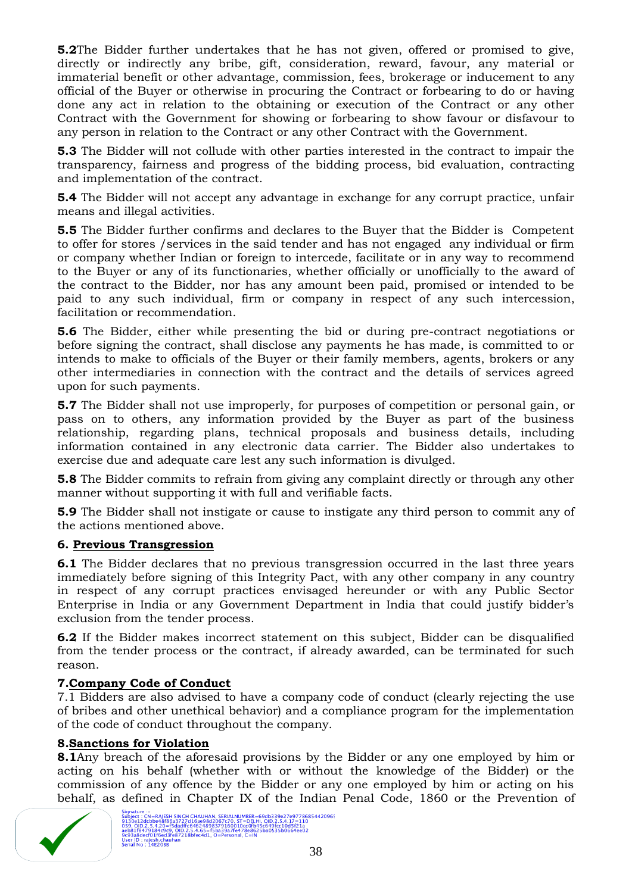**5.2**The Bidder further undertakes that he has not given, offered or promised to give, directly or indirectly any bribe, gift, consideration, reward, favour, any material or immaterial benefit or other advantage, commission, fees, brokerage or inducement to any official of the Buyer or otherwise in procuring the Contract or forbearing to do or having done any act in relation to the obtaining or execution of the Contract or any other Contract with the Government for showing or forbearing to show favour or disfavour to any person in relation to the Contract or any other Contract with the Government.

**5.3** The Bidder will not collude with other parties interested in the contract to impair the transparency, fairness and progress of the bidding process, bid evaluation, contracting and implementation of the contract.

**5.4** The Bidder will not accept any advantage in exchange for any corrupt practice, unfair means and illegal activities.

**5.5** The Bidder further confirms and declares to the Buyer that the Bidder is Competent to offer for stores /services in the said tender and has not engaged any individual or firm or company whether Indian or foreign to intercede, facilitate or in any way to recommend to the Buyer or any of its functionaries, whether officially or unofficially to the award of the contract to the Bidder, nor has any amount been paid, promised or intended to be paid to any such individual, firm or company in respect of any such intercession, facilitation or recommendation.

**5.6** The Bidder, either while presenting the bid or during pre-contract negotiations or before signing the contract, shall disclose any payments he has made, is committed to or intends to make to officials of the Buyer or their family members, agents, brokers or any other intermediaries in connection with the contract and the details of services agreed upon for such payments.

**5.7** The Bidder shall not use improperly, for purposes of competition or personal gain, or pass on to others, any information provided by the Buyer as part of the business relationship, regarding plans, technical proposals and business details, including information contained in any electronic data carrier. The Bidder also undertakes to exercise due and adequate care lest any such information is divulged.

**5.8** The Bidder commits to refrain from giving any complaint directly or through any other manner without supporting it with full and verifiable facts.

**5.9** The Bidder shall not instigate or cause to instigate any third person to commit any of the actions mentioned above.

# **6. Previous Transgression**

**6.1** The Bidder declares that no previous transgression occurred in the last three years immediately before signing of this Integrity Pact, with any other company in any country in respect of any corrupt practices envisaged hereunder or with any Public Sector Enterprise in India or any Government Department in India that could justify bidder"s exclusion from the tender process.

**6.2** If the Bidder makes incorrect statement on this subject, Bidder can be disqualified from the tender process or the contract, if already awarded, can be terminated for such reason.

# **7.Company Code of Conduct**

7.1 Bidders are also advised to have a company code of conduct (clearly rejecting the use of bribes and other unethical behavior) and a compliance program for the implementation of the code of conduct throughout the company.

# **8.Sanctions for Violation**

**8.1**Any breach of the aforesaid provisions by the Bidder or any one employed by him or acting on his behalf (whether with or without the knowledge of the Bidder) or the commission of any offence by the Bidder or any one employed by him or acting on his behalf, as defined in Chapter IX of the Indian Penal Code, 1860 or the Prevention of

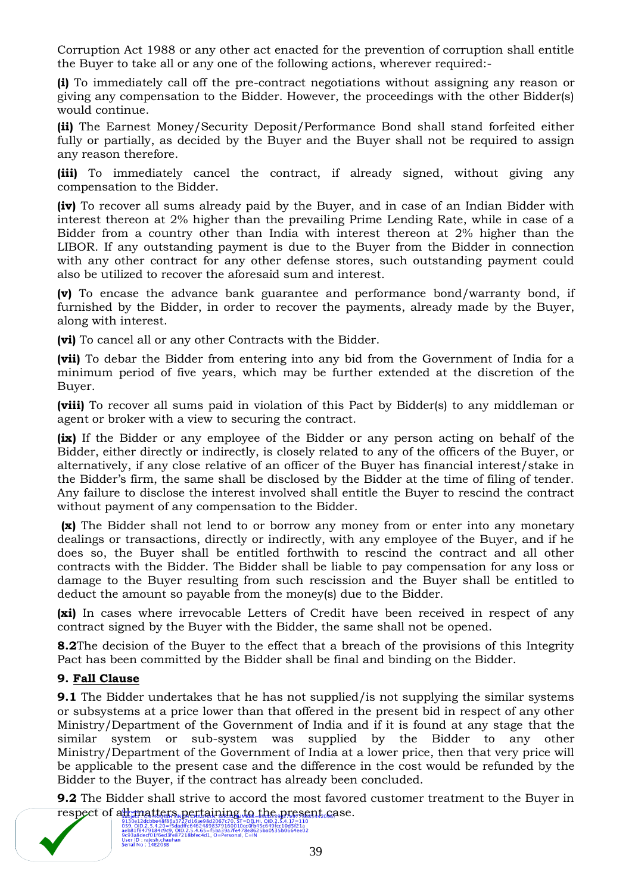Corruption Act 1988 or any other act enacted for the prevention of corruption shall entitle the Buyer to take all or any one of the following actions, wherever required:-

**(i)** To immediately call off the pre-contract negotiations without assigning any reason or giving any compensation to the Bidder. However, the proceedings with the other Bidder(s) would continue.

**(ii)** The Earnest Money/Security Deposit/Performance Bond shall stand forfeited either fully or partially, as decided by the Buyer and the Buyer shall not be required to assign any reason therefore.

**(iii)** To immediately cancel the contract, if already signed, without giving any compensation to the Bidder.

**(iv)** To recover all sums already paid by the Buyer, and in case of an Indian Bidder with interest thereon at 2% higher than the prevailing Prime Lending Rate, while in case of a Bidder from a country other than India with interest thereon at 2% higher than the LIBOR. If any outstanding payment is due to the Buyer from the Bidder in connection with any other contract for any other defense stores, such outstanding payment could also be utilized to recover the aforesaid sum and interest.

**(v)** To encase the advance bank guarantee and performance bond/warranty bond, if furnished by the Bidder, in order to recover the payments, already made by the Buyer, along with interest.

**(vi)** To cancel all or any other Contracts with the Bidder.

**(vii)** To debar the Bidder from entering into any bid from the Government of India for a minimum period of five years, which may be further extended at the discretion of the Buyer.

**(viii)** To recover all sums paid in violation of this Pact by Bidder(s) to any middleman or agent or broker with a view to securing the contract.

**(ix)** If the Bidder or any employee of the Bidder or any person acting on behalf of the Bidder, either directly or indirectly, is closely related to any of the officers of the Buyer, or alternatively, if any close relative of an officer of the Buyer has financial interest/stake in the Bidder"s firm, the same shall be disclosed by the Bidder at the time of filing of tender. Any failure to disclose the interest involved shall entitle the Buyer to rescind the contract without payment of any compensation to the Bidder.

**(x)** The Bidder shall not lend to or borrow any money from or enter into any monetary dealings or transactions, directly or indirectly, with any employee of the Buyer, and if he does so, the Buyer shall be entitled forthwith to rescind the contract and all other contracts with the Bidder. The Bidder shall be liable to pay compensation for any loss or damage to the Buyer resulting from such rescission and the Buyer shall be entitled to deduct the amount so payable from the money(s) due to the Bidder.

**(xi)** In cases where irrevocable Letters of Credit have been received in respect of any contract signed by the Buyer with the Bidder, the same shall not be opened.

**8.2**The decision of the Buyer to the effect that a breach of the provisions of this Integrity Pact has been committed by the Bidder shall be final and binding on the Bidder.

# **9. Fall Clause**

**9.1** The Bidder undertakes that he has not supplied/is not supplying the similar systems or subsystems at a price lower than that offered in the present bid in respect of any other Ministry/Department of the Government of India and if it is found at any stage that the similar system or sub-system was supplied by the Bidder to any other Ministry/Department of the Government of India at a lower price, then that very price will be applicable to the present case and the difference in the cost would be refunded by the Bidder to the Buyer, if the contract has already been concluded.

**9.2** The Bidder shall strive to accord the most favored customer treatment to the Buyer in respect of all matters pertaining to the present case.

aeb81f847913488-120aadtrcb4624898379160010cc0fb45c649fcc10d5f21a<br>9c93a8decf01f6ed3fe872184.65=f5ba39a7fe478e86249fcc10d5f21a<br>9c93a8decf01f6ed3fe87218bfec4d1, O=Personal, C=IN<br>Serial No : 14E20BB<br>Serial No : 14E20BB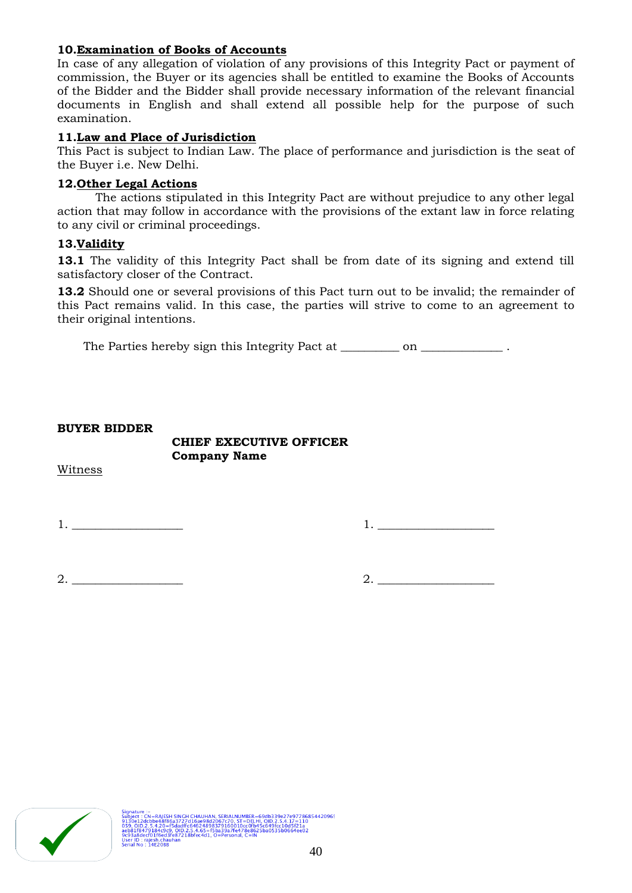# **10.Examination of Books of Accounts**

In case of any allegation of violation of any provisions of this Integrity Pact or payment of commission, the Buyer or its agencies shall be entitled to examine the Books of Accounts of the Bidder and the Bidder shall provide necessary information of the relevant financial documents in English and shall extend all possible help for the purpose of such examination.

# **11.Law and Place of Jurisdiction**

This Pact is subject to Indian Law. The place of performance and jurisdiction is the seat of the Buyer i.e. New Delhi.

### **12.Other Legal Actions**

The actions stipulated in this Integrity Pact are without prejudice to any other legal action that may follow in accordance with the provisions of the extant law in force relating to any civil or criminal proceedings.

### **13.Validity**

13.1 The validity of this Integrity Pact shall be from date of its signing and extend till satisfactory closer of the Contract.

**13.2** Should one or several provisions of this Pact turn out to be invalid; the remainder of this Pact remains valid. In this case, the parties will strive to come to an agreement to their original intentions.

The Parties hereby sign this Integrity Pact at \_\_\_\_\_\_\_\_\_ on \_\_\_\_\_\_\_\_\_\_\_\_\_\_\_\_.

### **BUYER BIDDER**

### **CHIEF EXECUTIVE OFFICER Company Name**

Witness

1. \_\_\_\_\_\_\_\_\_\_\_\_\_\_\_\_\_\_\_ 1. \_\_\_\_\_\_\_\_\_\_\_\_\_\_\_\_\_\_\_\_

 $2.$